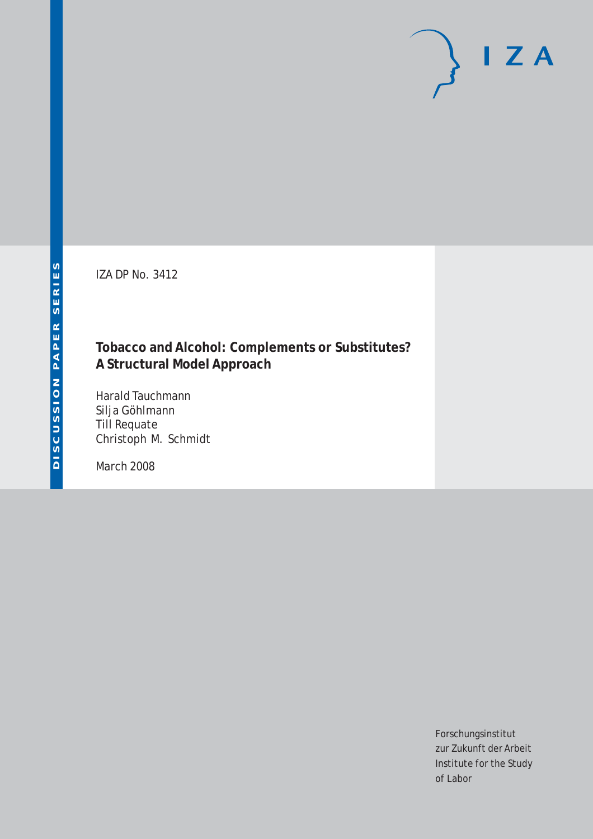IZA DP No. 3412

## **Tobacco and Alcohol: Complements or Substitutes? A Structural Model Approach**

Harald Tauchmann Silja Göhlmann Till Requate Christoph M. Schmidt

March 2008

Forschungsinstitut zur Zukunft der Arbeit Institute for the Study of Labor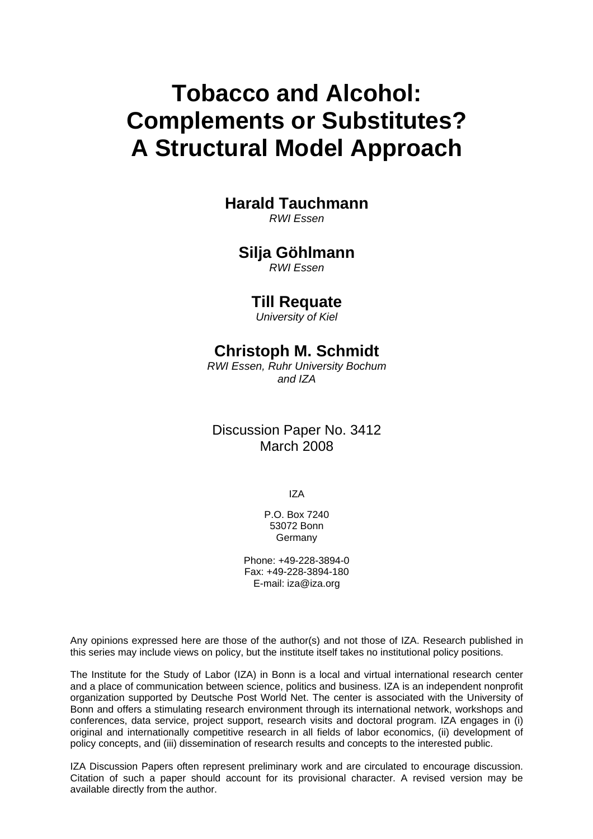# **Tobacco and Alcohol: Complements or Substitutes? A Structural Model Approach**

## **Harald Tauchmann**

*RWI Essen* 

## **Silja Göhlmann**

*RWI Essen* 

## **Till Requate**

*University of Kiel* 

## **Christoph M. Schmidt**

*RWI Essen, Ruhr University Bochum and IZA*

Discussion Paper No. 3412 March 2008

IZA

P.O. Box 7240 53072 Bonn Germany

Phone: +49-228-3894-0 Fax: +49-228-3894-180 E-mail: [iza@iza.org](mailto:iza@iza.org)

Any opinions expressed here are those of the author(s) and not those of IZA. Research published in this series may include views on policy, but the institute itself takes no institutional policy positions.

The Institute for the Study of Labor (IZA) in Bonn is a local and virtual international research center and a place of communication between science, politics and business. IZA is an independent nonprofit organization supported by Deutsche Post World Net. The center is associated with the University of Bonn and offers a stimulating research environment through its international network, workshops and conferences, data service, project support, research visits and doctoral program. IZA engages in (i) original and internationally competitive research in all fields of labor economics, (ii) development of policy concepts, and (iii) dissemination of research results and concepts to the interested public.

IZA Discussion Papers often represent preliminary work and are circulated to encourage discussion. Citation of such a paper should account for its provisional character. A revised version may be available directly from the author.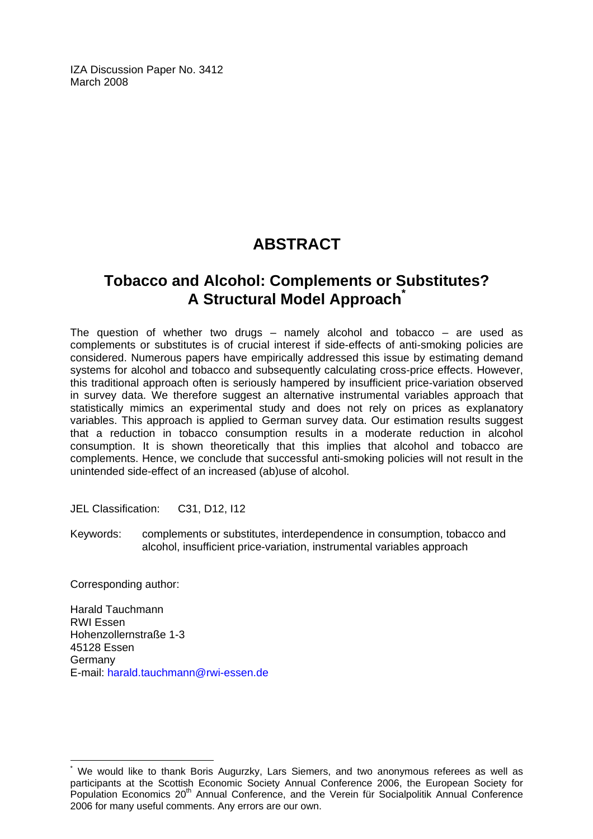IZA Discussion Paper No. 3412 March 2008

## **ABSTRACT**

## **Tobacco and Alcohol: Complements or Substitutes? A Structural Model Approach[\\*](#page-2-0)**

The question of whether two drugs – namely alcohol and tobacco – are used as complements or substitutes is of crucial interest if side-effects of anti-smoking policies are considered. Numerous papers have empirically addressed this issue by estimating demand systems for alcohol and tobacco and subsequently calculating cross-price effects. However, this traditional approach often is seriously hampered by insufficient price-variation observed in survey data. We therefore suggest an alternative instrumental variables approach that statistically mimics an experimental study and does not rely on prices as explanatory variables. This approach is applied to German survey data. Our estimation results suggest that a reduction in tobacco consumption results in a moderate reduction in alcohol consumption. It is shown theoretically that this implies that alcohol and tobacco are complements. Hence, we conclude that successful anti-smoking policies will not result in the unintended side-effect of an increased (ab)use of alcohol.

JEL Classification: C31, D12, I12

Keywords: complements or substitutes, interdependence in consumption, tobacco and alcohol, insufficient price-variation, instrumental variables approach

Corresponding author:

 $\overline{a}$ 

Harald Tauchmann RWI Essen Hohenzollernstraße 1-3 45128 Essen Germany E-mail: [harald.tauchmann@rwi-essen.de](mailto:harald.tauchmann@rwi-essen.de)

<span id="page-2-0"></span><sup>\*</sup> We would like to thank Boris Augurzky, Lars Siemers, and two anonymous referees as well as participants at the Scottish Economic Society Annual Conference 2006, the European Society for Population Economics 20th Annual Conference, and the Verein für Socialpolitik Annual Conference 2006 for many useful comments. Any errors are our own.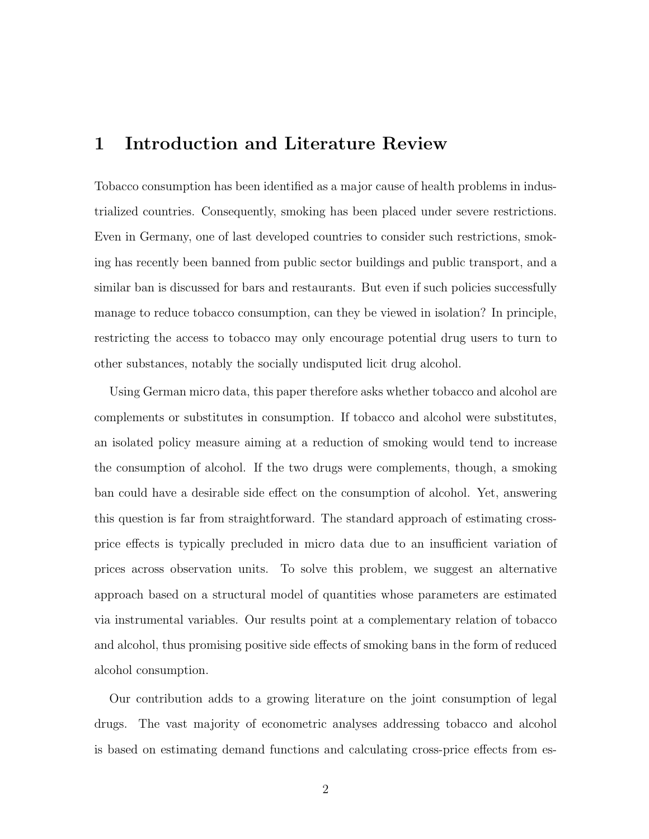## 1 Introduction and Literature Review

Tobacco consumption has been identified as a major cause of health problems in industrialized countries. Consequently, smoking has been placed under severe restrictions. Even in Germany, one of last developed countries to consider such restrictions, smoking has recently been banned from public sector buildings and public transport, and a similar ban is discussed for bars and restaurants. But even if such policies successfully manage to reduce tobacco consumption, can they be viewed in isolation? In principle, restricting the access to tobacco may only encourage potential drug users to turn to other substances, notably the socially undisputed licit drug alcohol.

Using German micro data, this paper therefore asks whether tobacco and alcohol are complements or substitutes in consumption. If tobacco and alcohol were substitutes, an isolated policy measure aiming at a reduction of smoking would tend to increase the consumption of alcohol. If the two drugs were complements, though, a smoking ban could have a desirable side effect on the consumption of alcohol. Yet, answering this question is far from straightforward. The standard approach of estimating crossprice effects is typically precluded in micro data due to an insufficient variation of prices across observation units. To solve this problem, we suggest an alternative approach based on a structural model of quantities whose parameters are estimated via instrumental variables. Our results point at a complementary relation of tobacco and alcohol, thus promising positive side effects of smoking bans in the form of reduced alcohol consumption.

Our contribution adds to a growing literature on the joint consumption of legal drugs. The vast majority of econometric analyses addressing tobacco and alcohol is based on estimating demand functions and calculating cross-price effects from es-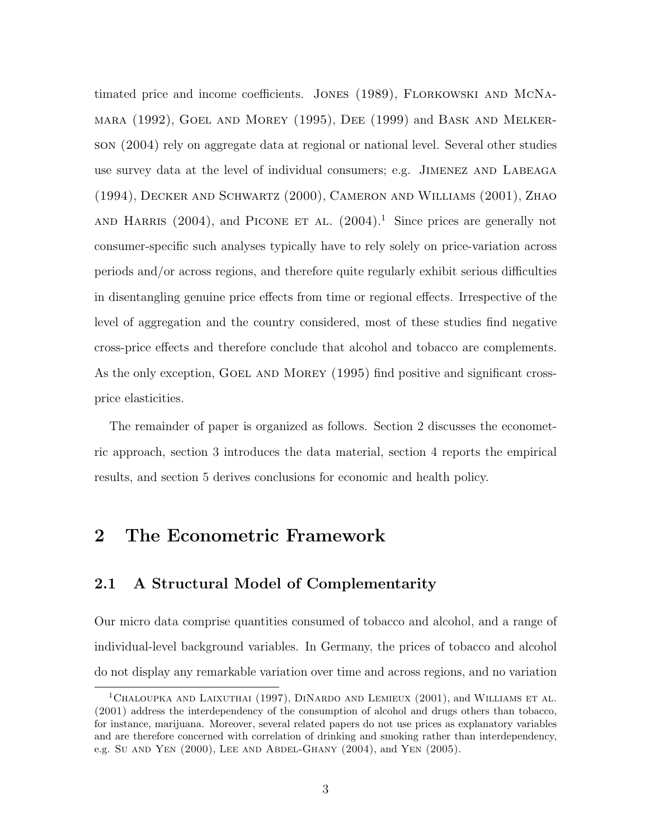timated price and income coefficients. Jones (1989), Florkowski and McNamara (1992), Goel and Morey (1995), Dee (1999) and Bask and Melkerson (2004) rely on aggregate data at regional or national level. Several other studies use survey data at the level of individual consumers; e.g. Jimenez and Labeaga (1994), Decker and Schwartz (2000), Cameron and Williams (2001), Zhao AND HARRIS  $(2004)$ , and PICONE ET AL.  $(2004)^{1}$ . Since prices are generally not consumer-specific such analyses typically have to rely solely on price-variation across periods and/or across regions, and therefore quite regularly exhibit serious difficulties in disentangling genuine price effects from time or regional effects. Irrespective of the level of aggregation and the country considered, most of these studies find negative cross-price effects and therefore conclude that alcohol and tobacco are complements. As the only exception, GOEL AND MOREY (1995) find positive and significant crossprice elasticities.

The remainder of paper is organized as follows. Section 2 discusses the econometric approach, section 3 introduces the data material, section 4 reports the empirical results, and section 5 derives conclusions for economic and health policy.

## 2 The Econometric Framework

#### 2.1 A Structural Model of Complementarity

Our micro data comprise quantities consumed of tobacco and alcohol, and a range of individual-level background variables. In Germany, the prices of tobacco and alcohol do not display any remarkable variation over time and across regions, and no variation

<sup>&</sup>lt;sup>1</sup>CHALOUPKA AND LAIXUTHAI (1997), DINARDO AND LEMIEUX (2001), and WILLIAMS ET AL. (2001) address the interdependency of the consumption of alcohol and drugs others than tobacco, for instance, marijuana. Moreover, several related papers do not use prices as explanatory variables and are therefore concerned with correlation of drinking and smoking rather than interdependency, e.g. Su AND YEN (2000), LEE AND ABDEL-GHANY (2004), and YEN (2005).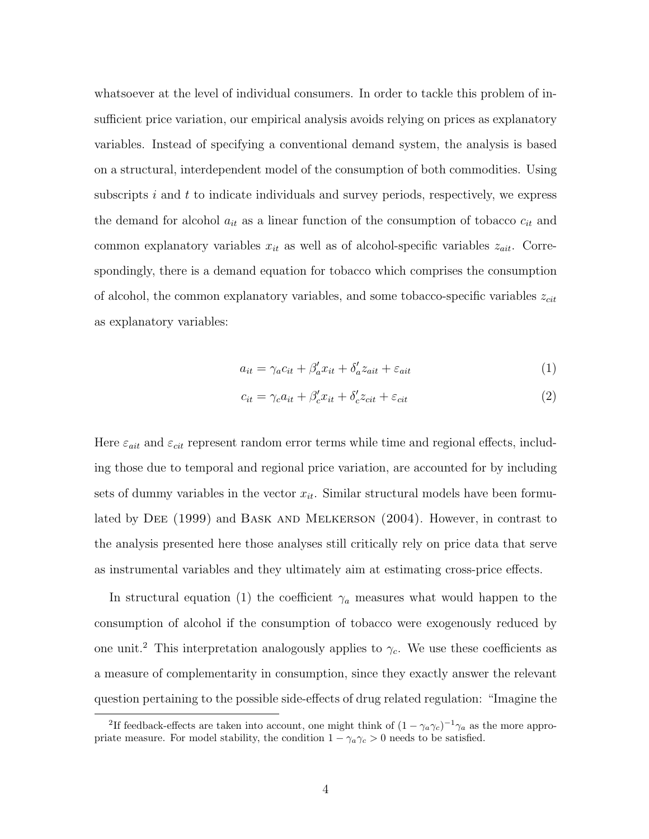whatsoever at the level of individual consumers. In order to tackle this problem of insufficient price variation, our empirical analysis avoids relying on prices as explanatory variables. Instead of specifying a conventional demand system, the analysis is based on a structural, interdependent model of the consumption of both commodities. Using subscripts  $i$  and  $t$  to indicate individuals and survey periods, respectively, we express the demand for alcohol  $a_{it}$  as a linear function of the consumption of tobacco  $c_{it}$  and common explanatory variables  $x_{it}$  as well as of alcohol-specific variables  $z_{ait}$ . Correspondingly, there is a demand equation for tobacco which comprises the consumption of alcohol, the common explanatory variables, and some tobacco-specific variables  $z_{cit}$ as explanatory variables:

$$
a_{it} = \gamma_a c_{it} + \beta'_a x_{it} + \delta'_a z_{ait} + \varepsilon_{ait} \tag{1}
$$

$$
c_{it} = \gamma_c a_{it} + \beta_c' x_{it} + \delta_c' z_{cit} + \varepsilon_{cit}
$$
\n
$$
\tag{2}
$$

Here  $\varepsilon_{ait}$  and  $\varepsilon_{cit}$  represent random error terms while time and regional effects, including those due to temporal and regional price variation, are accounted for by including sets of dummy variables in the vector  $x_{it}$ . Similar structural models have been formulated by DEE (1999) and BASK AND MELKERSON (2004). However, in contrast to the analysis presented here those analyses still critically rely on price data that serve as instrumental variables and they ultimately aim at estimating cross-price effects.

In structural equation (1) the coefficient  $\gamma_a$  measures what would happen to the consumption of alcohol if the consumption of tobacco were exogenously reduced by one unit.<sup>2</sup> This interpretation analogously applies to  $\gamma_c$ . We use these coefficients as a measure of complementarity in consumption, since they exactly answer the relevant question pertaining to the possible side-effects of drug related regulation: "Imagine the

<sup>&</sup>lt;sup>2</sup>If feedback-effects are taken into account, one might think of  $(1 - \gamma_a \gamma_c)^{-1} \gamma_a$  as the more appropriate measure. For model stability, the condition  $1 - \gamma_a \gamma_c > 0$  needs to be satisfied.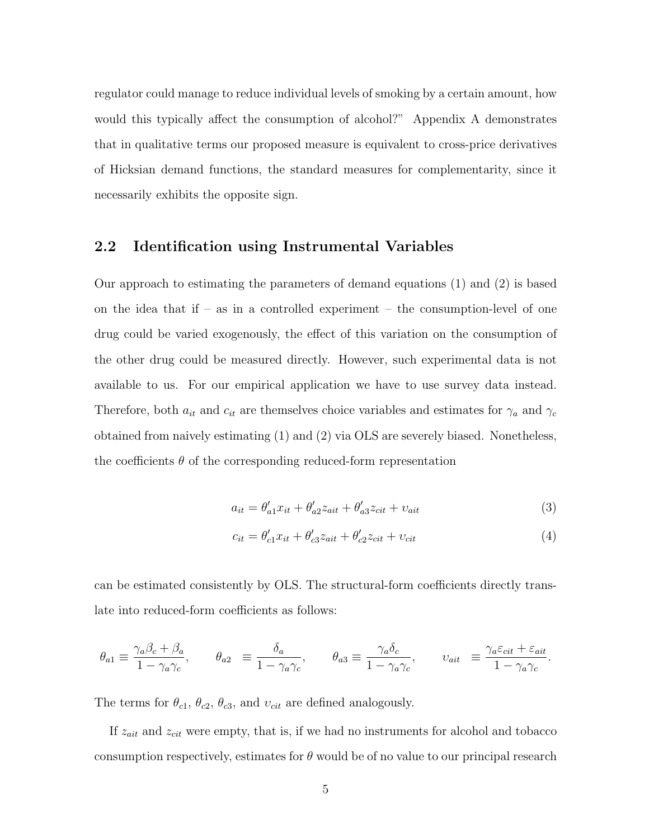regulator could manage to reduce individual levels of smoking by a certain amount, how would this typically affect the consumption of alcohol?" Appendix A demonstrates that in qualitative terms our proposed measure is equivalent to cross-price derivatives of Hicksian demand functions, the standard measures for complementarity, since it necessarily exhibits the opposite sign.

#### 2.2 Identification using Instrumental Variables

Our approach to estimating the parameters of demand equations (1) and (2) is based on the idea that if – as in a controlled experiment – the consumption-level of one drug could be varied exogenously, the effect of this variation on the consumption of the other drug could be measured directly. However, such experimental data is not available to us. For our empirical application we have to use survey data instead. Therefore, both  $a_{it}$  and  $c_{it}$  are themselves choice variables and estimates for  $\gamma_a$  and  $\gamma_c$ obtained from naively estimating (1) and (2) via OLS are severely biased. Nonetheless, the coefficients  $\theta$  of the corresponding reduced-form representation

$$
a_{it} = \theta'_{a1} x_{it} + \theta'_{a2} z_{ait} + \theta'_{a3} z_{cit} + v_{ait}
$$
\n
$$
\tag{3}
$$

$$
c_{it} = \theta_{c1}' x_{it} + \theta_{c3}' z_{ait} + \theta_{c2}' z_{cit} + \nu_{cit}
$$
 (4)

can be estimated consistently by OLS. The structural-form coefficients directly translate into reduced-form coefficients as follows:

$$
\theta_{a1} \equiv \frac{\gamma_a \beta_c + \beta_a}{1 - \gamma_a \gamma_c}, \qquad \theta_{a2} \equiv \frac{\delta_a}{1 - \gamma_a \gamma_c}, \qquad \theta_{a3} \equiv \frac{\gamma_a \delta_c}{1 - \gamma_a \gamma_c}, \qquad v_{ait} \equiv \frac{\gamma_a \varepsilon_{cit} + \varepsilon_{ait}}{1 - \gamma_a \gamma_c}.
$$

The terms for  $\theta_{c1}$ ,  $\theta_{c2}$ ,  $\theta_{c3}$ , and  $v_{cit}$  are defined analogously.

If  $z_{ait}$  and  $z_{cit}$  were empty, that is, if we had no instruments for alcohol and tobacco consumption respectively, estimates for  $\theta$  would be of no value to our principal research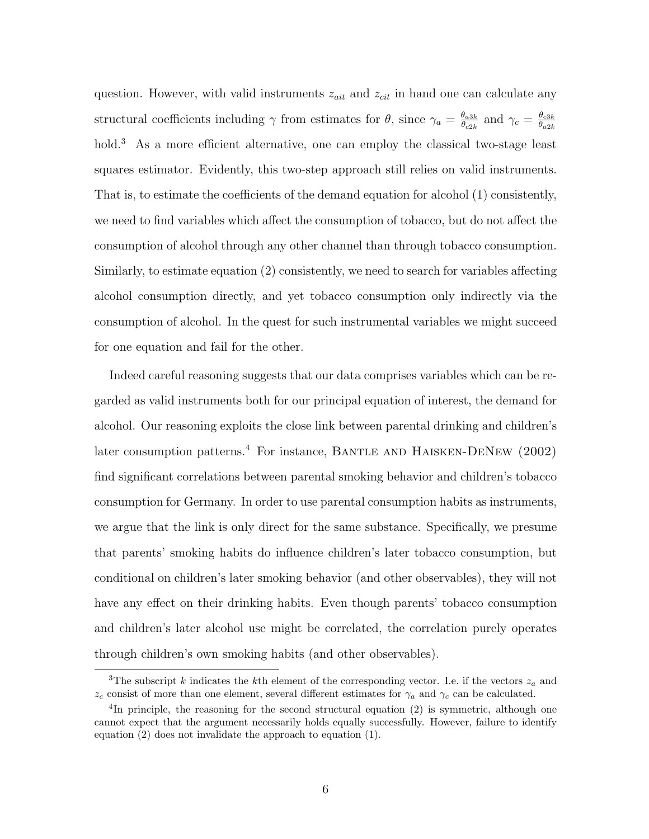question. However, with valid instruments  $z_{ait}$  and  $z_{cit}$  in hand one can calculate any structural coefficients including  $\gamma$  from estimates for  $\theta$ , since  $\gamma_a = \frac{\theta_{a3k}}{\theta_{a3k}}$  $\frac{\theta_{a3k}}{\theta_{c2k}}$  and  $\gamma_c = \frac{\theta_{c3k}}{\theta_{a2k}}$  $\theta_{a2k}$ hold.<sup>3</sup> As a more efficient alternative, one can employ the classical two-stage least squares estimator. Evidently, this two-step approach still relies on valid instruments. That is, to estimate the coefficients of the demand equation for alcohol (1) consistently, we need to find variables which affect the consumption of tobacco, but do not affect the consumption of alcohol through any other channel than through tobacco consumption. Similarly, to estimate equation (2) consistently, we need to search for variables affecting alcohol consumption directly, and yet tobacco consumption only indirectly via the consumption of alcohol. In the quest for such instrumental variables we might succeed for one equation and fail for the other.

Indeed careful reasoning suggests that our data comprises variables which can be regarded as valid instruments both for our principal equation of interest, the demand for alcohol. Our reasoning exploits the close link between parental drinking and children's later consumption patterns.<sup>4</sup> For instance, BANTLE AND HAISKEN-DENEW  $(2002)$ find significant correlations between parental smoking behavior and children's tobacco consumption for Germany. In order to use parental consumption habits as instruments, we argue that the link is only direct for the same substance. Specifically, we presume that parents' smoking habits do influence children's later tobacco consumption, but conditional on children's later smoking behavior (and other observables), they will not have any effect on their drinking habits. Even though parents' tobacco consumption and children's later alcohol use might be correlated, the correlation purely operates through children's own smoking habits (and other observables).

<sup>&</sup>lt;sup>3</sup>The subscript k indicates the kth element of the corresponding vector. I.e. if the vectors  $z_a$  and  $z_c$  consist of more than one element, several different estimates for  $\gamma_a$  and  $\gamma_c$  can be calculated.

<sup>&</sup>lt;sup>4</sup>In principle, the reasoning for the second structural equation (2) is symmetric, although one cannot expect that the argument necessarily holds equally successfully. However, failure to identify equation (2) does not invalidate the approach to equation (1).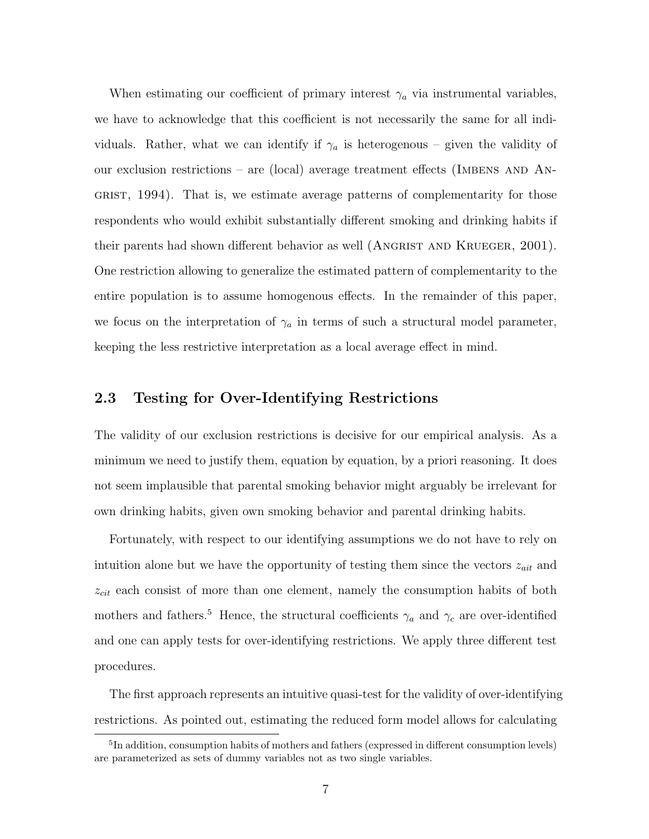When estimating our coefficient of primary interest  $\gamma_a$  via instrumental variables, we have to acknowledge that this coefficient is not necessarily the same for all individuals. Rather, what we can identify if  $\gamma_a$  is heterogenous – given the validity of our exclusion restrictions – are (local) average treatment effects (IMBENS AND  $\Lambda$ N-GRIST, 1994). That is, we estimate average patterns of complementarity for those respondents who would exhibit substantially different smoking and drinking habits if their parents had shown different behavior as well (ANGRIST AND KRUEGER, 2001). One restriction allowing to generalize the estimated pattern of complementarity to the entire population is to assume homogenous effects. In the remainder of this paper, we focus on the interpretation of  $\gamma_a$  in terms of such a structural model parameter, keeping the less restrictive interpretation as a local average effect in mind.

#### 2.3 Testing for Over-Identifying Restrictions

The validity of our exclusion restrictions is decisive for our empirical analysis. As a minimum we need to justify them, equation by equation, by a priori reasoning. It does not seem implausible that parental smoking behavior might arguably be irrelevant for own drinking habits, given own smoking behavior and parental drinking habits.

Fortunately, with respect to our identifying assumptions we do not have to rely on intuition alone but we have the opportunity of testing them since the vectors  $z_{ait}$  and  $z_{cit}$  each consist of more than one element, namely the consumption habits of both mothers and fathers.<sup>5</sup> Hence, the structural coefficients  $\gamma_a$  and  $\gamma_c$  are over-identified and one can apply tests for over-identifying restrictions. We apply three different test procedures.

The first approach represents an intuitive quasi-test for the validity of over-identifying restrictions. As pointed out, estimating the reduced form model allows for calculating

<sup>&</sup>lt;sup>5</sup>In addition, consumption habits of mothers and fathers (expressed in different consumption levels) are parameterized as sets of dummy variables not as two single variables.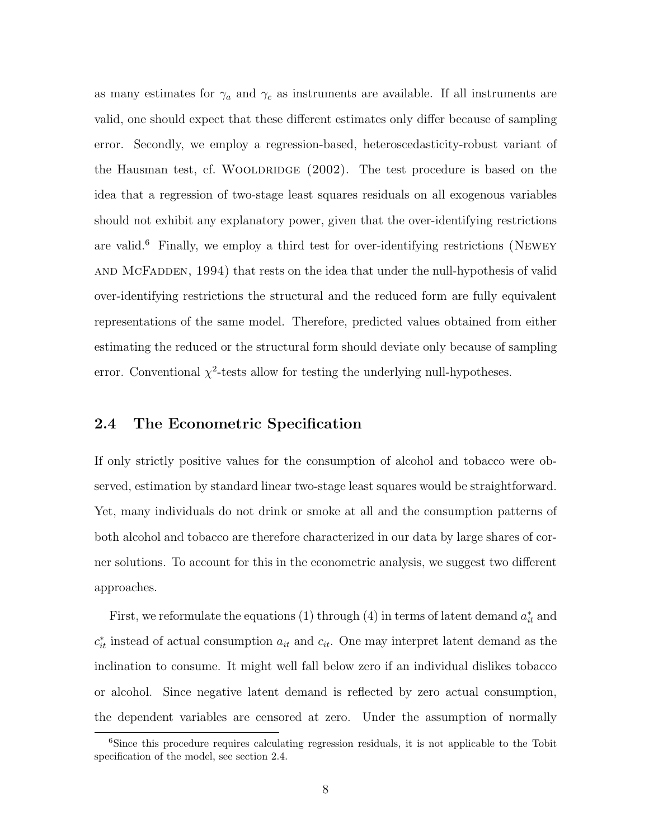as many estimates for  $\gamma_a$  and  $\gamma_c$  as instruments are available. If all instruments are valid, one should expect that these different estimates only differ because of sampling error. Secondly, we employ a regression-based, heteroscedasticity-robust variant of the Hausman test, cf. WOOLDRIDGE  $(2002)$ . The test procedure is based on the idea that a regression of two-stage least squares residuals on all exogenous variables should not exhibit any explanatory power, given that the over-identifying restrictions are valid.<sup>6</sup> Finally, we employ a third test for over-identifying restrictions (NEWEY and McFadden, 1994) that rests on the idea that under the null-hypothesis of valid over-identifying restrictions the structural and the reduced form are fully equivalent representations of the same model. Therefore, predicted values obtained from either estimating the reduced or the structural form should deviate only because of sampling error. Conventional  $\chi^2$ -tests allow for testing the underlying null-hypotheses.

#### 2.4 The Econometric Specification

If only strictly positive values for the consumption of alcohol and tobacco were observed, estimation by standard linear two-stage least squares would be straightforward. Yet, many individuals do not drink or smoke at all and the consumption patterns of both alcohol and tobacco are therefore characterized in our data by large shares of corner solutions. To account for this in the econometric analysis, we suggest two different approaches.

First, we reformulate the equations (1) through (4) in terms of latent demand  $a_{it}^*$  and  $c_{it}^*$  instead of actual consumption  $a_{it}$  and  $c_{it}$ . One may interpret latent demand as the inclination to consume. It might well fall below zero if an individual dislikes tobacco or alcohol. Since negative latent demand is reflected by zero actual consumption, the dependent variables are censored at zero. Under the assumption of normally

<sup>&</sup>lt;sup>6</sup>Since this procedure requires calculating regression residuals, it is not applicable to the Tobit specification of the model, see section 2.4.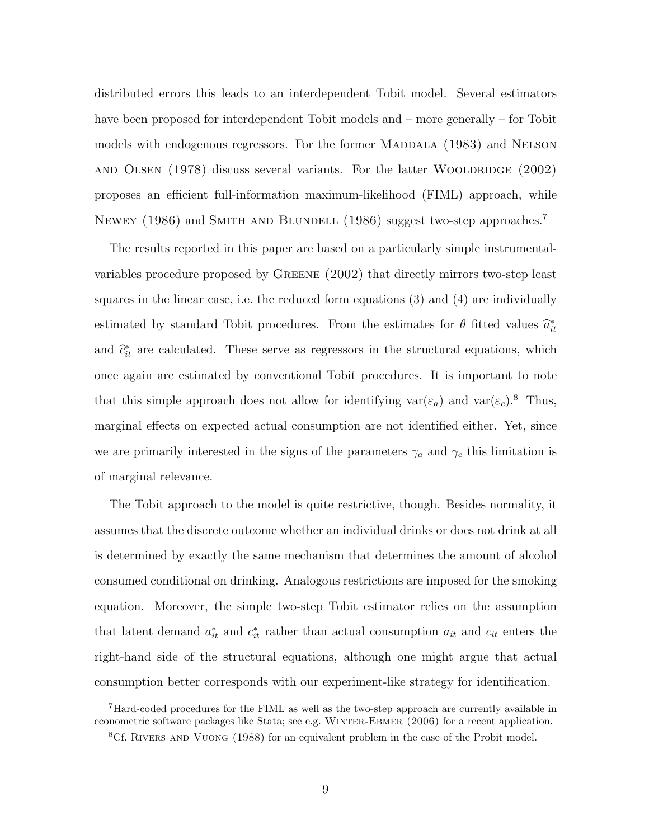distributed errors this leads to an interdependent Tobit model. Several estimators have been proposed for interdependent Tobit models and – more generally – for Tobit models with endogenous regressors. For the former MADDALA (1983) and NELSON AND OLSEN  $(1978)$  discuss several variants. For the latter WOOLDRIDGE  $(2002)$ proposes an efficient full-information maximum-likelihood (FIML) approach, while NEWEY (1986) and SMITH AND BLUNDELL (1986) suggest two-step approaches.<sup>7</sup>

The results reported in this paper are based on a particularly simple instrumentalvariables procedure proposed by Greene (2002) that directly mirrors two-step least squares in the linear case, i.e. the reduced form equations (3) and (4) are individually estimated by standard Tobit procedures. From the estimates for  $\theta$  fitted values  $\hat{a}_{it}^*$ and  $\hat{c}_{it}^*$  are calculated. These serve as regressors in the structural equations, which once again are estimated by conventional Tobit procedures. It is important to note that this simple approach does not allow for identifying  $var(\varepsilon_a)$  and  $var(\varepsilon_c)$ .<sup>8</sup> Thus, marginal effects on expected actual consumption are not identified either. Yet, since we are primarily interested in the signs of the parameters  $\gamma_a$  and  $\gamma_c$  this limitation is of marginal relevance.

The Tobit approach to the model is quite restrictive, though. Besides normality, it assumes that the discrete outcome whether an individual drinks or does not drink at all is determined by exactly the same mechanism that determines the amount of alcohol consumed conditional on drinking. Analogous restrictions are imposed for the smoking equation. Moreover, the simple two-step Tobit estimator relies on the assumption that latent demand  $a_{it}^*$  and  $c_{it}^*$  rather than actual consumption  $a_{it}$  and  $c_{it}$  enters the right-hand side of the structural equations, although one might argue that actual consumption better corresponds with our experiment-like strategy for identification.

<sup>7</sup>Hard-coded procedures for the FIML as well as the two-step approach are currently available in econometric software packages like Stata; see e.g. Winter-Ebmer (2006) for a recent application.

<sup>&</sup>lt;sup>8</sup>Cf. RIVERS AND VUONG (1988) for an equivalent problem in the case of the Probit model.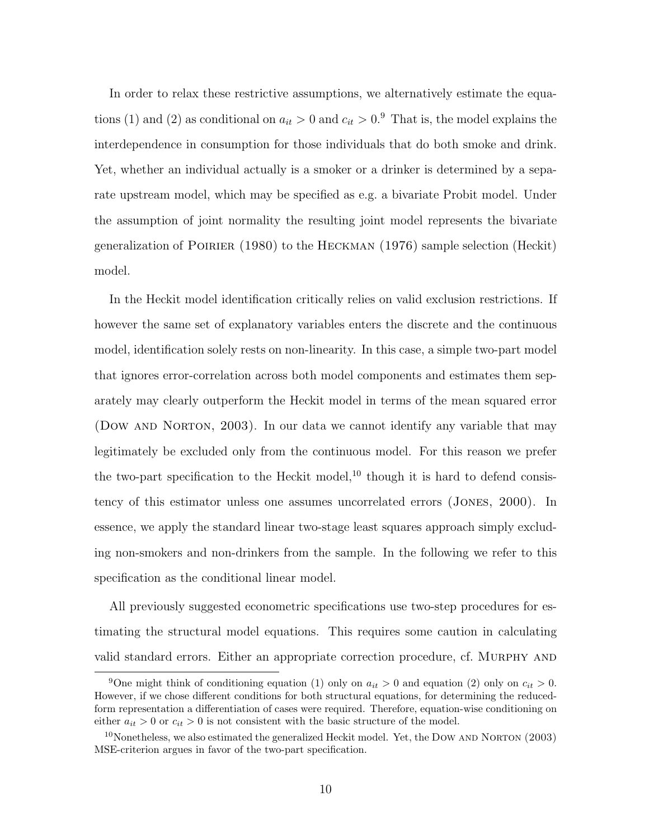In order to relax these restrictive assumptions, we alternatively estimate the equations (1) and (2) as conditional on  $a_{it} > 0$  and  $c_{it} > 0$ .<sup>9</sup> That is, the model explains the interdependence in consumption for those individuals that do both smoke and drink. Yet, whether an individual actually is a smoker or a drinker is determined by a separate upstream model, which may be specified as e.g. a bivariate Probit model. Under the assumption of joint normality the resulting joint model represents the bivariate generalization of Poirier (1980) to the Heckman (1976) sample selection (Heckit) model.

In the Heckit model identification critically relies on valid exclusion restrictions. If however the same set of explanatory variables enters the discrete and the continuous model, identification solely rests on non-linearity. In this case, a simple two-part model that ignores error-correlation across both model components and estimates them separately may clearly outperform the Heckit model in terms of the mean squared error (DOW AND NORTON, 2003). In our data we cannot identify any variable that may legitimately be excluded only from the continuous model. For this reason we prefer the two-part specification to the Heckit model, $^{10}$  though it is hard to defend consistency of this estimator unless one assumes uncorrelated errors (Jones, 2000). In essence, we apply the standard linear two-stage least squares approach simply excluding non-smokers and non-drinkers from the sample. In the following we refer to this specification as the conditional linear model.

All previously suggested econometric specifications use two-step procedures for estimating the structural model equations. This requires some caution in calculating valid standard errors. Either an appropriate correction procedure, cf. MURPHY AND

<sup>&</sup>lt;sup>9</sup>One might think of conditioning equation (1) only on  $a_{it} > 0$  and equation (2) only on  $c_{it} > 0$ . However, if we chose different conditions for both structural equations, for determining the reducedform representation a differentiation of cases were required. Therefore, equation-wise conditioning on either  $a_{it} > 0$  or  $c_{it} > 0$  is not consistent with the basic structure of the model.

 $10$ Nonetheless, we also estimated the generalized Heckit model. Yet, the DOW AND NORTON (2003) MSE-criterion argues in favor of the two-part specification.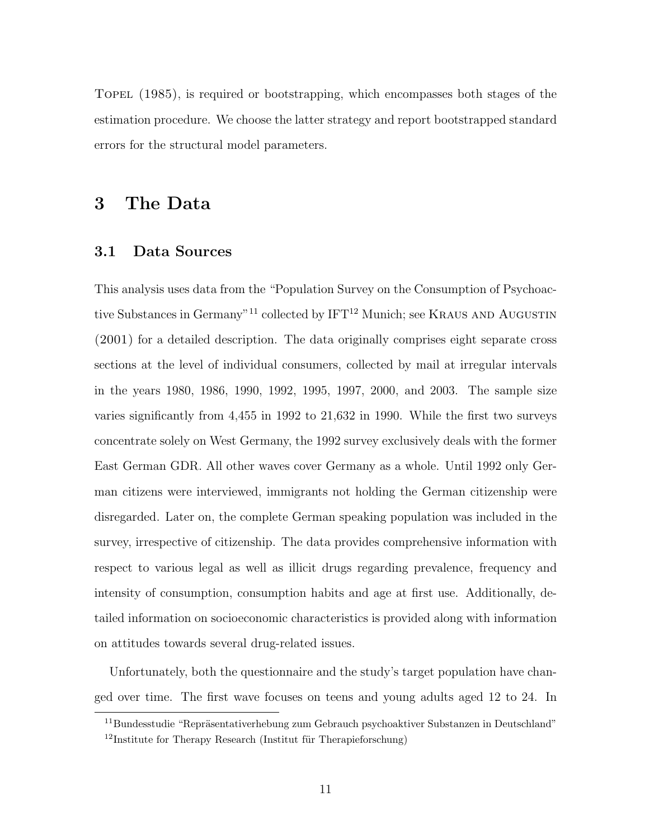TOPEL (1985), is required or bootstrapping, which encompasses both stages of the estimation procedure. We choose the latter strategy and report bootstrapped standard errors for the structural model parameters.

## 3 The Data

#### 3.1 Data Sources

This analysis uses data from the "Population Survey on the Consumption of Psychoactive Substances in Germany"<sup>11</sup> collected by  $IFT^{12}$  Munich; see KRAUS AND AUGUSTIN (2001) for a detailed description. The data originally comprises eight separate cross sections at the level of individual consumers, collected by mail at irregular intervals in the years 1980, 1986, 1990, 1992, 1995, 1997, 2000, and 2003. The sample size varies significantly from 4,455 in 1992 to 21,632 in 1990. While the first two surveys concentrate solely on West Germany, the 1992 survey exclusively deals with the former East German GDR. All other waves cover Germany as a whole. Until 1992 only German citizens were interviewed, immigrants not holding the German citizenship were disregarded. Later on, the complete German speaking population was included in the survey, irrespective of citizenship. The data provides comprehensive information with respect to various legal as well as illicit drugs regarding prevalence, frequency and intensity of consumption, consumption habits and age at first use. Additionally, detailed information on socioeconomic characteristics is provided along with information on attitudes towards several drug-related issues.

Unfortunately, both the questionnaire and the study's target population have changed over time. The first wave focuses on teens and young adults aged 12 to 24. In

 $11$ Bundesstudie "Repräsentativerhebung zum Gebrauch psychoaktiver Substanzen in Deutschland"  $12$ Institute for Therapy Research (Institut für Therapieforschung)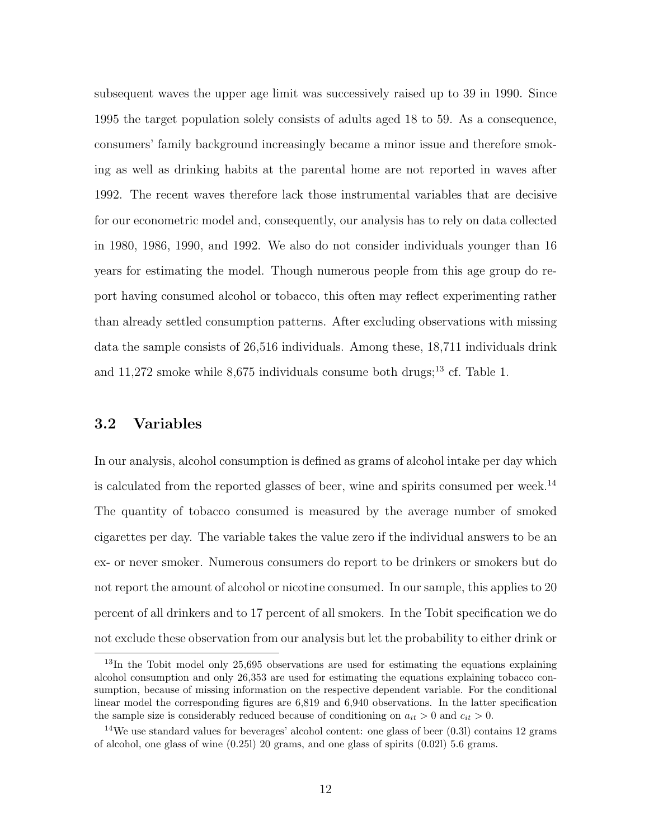subsequent waves the upper age limit was successively raised up to 39 in 1990. Since 1995 the target population solely consists of adults aged 18 to 59. As a consequence, consumers' family background increasingly became a minor issue and therefore smoking as well as drinking habits at the parental home are not reported in waves after 1992. The recent waves therefore lack those instrumental variables that are decisive for our econometric model and, consequently, our analysis has to rely on data collected in 1980, 1986, 1990, and 1992. We also do not consider individuals younger than 16 years for estimating the model. Though numerous people from this age group do report having consumed alcohol or tobacco, this often may reflect experimenting rather than already settled consumption patterns. After excluding observations with missing data the sample consists of 26,516 individuals. Among these, 18,711 individuals drink and  $11,272$  smoke while 8,675 individuals consume both drugs;<sup>13</sup> cf. Table 1.

#### 3.2 Variables

In our analysis, alcohol consumption is defined as grams of alcohol intake per day which is calculated from the reported glasses of beer, wine and spirits consumed per week.<sup>14</sup> The quantity of tobacco consumed is measured by the average number of smoked cigarettes per day. The variable takes the value zero if the individual answers to be an ex- or never smoker. Numerous consumers do report to be drinkers or smokers but do not report the amount of alcohol or nicotine consumed. In our sample, this applies to 20 percent of all drinkers and to 17 percent of all smokers. In the Tobit specification we do not exclude these observation from our analysis but let the probability to either drink or

<sup>&</sup>lt;sup>13</sup>In the Tobit model only 25,695 observations are used for estimating the equations explaining alcohol consumption and only 26,353 are used for estimating the equations explaining tobacco consumption, because of missing information on the respective dependent variable. For the conditional linear model the corresponding figures are 6,819 and 6,940 observations. In the latter specification the sample size is considerably reduced because of conditioning on  $a_{it} > 0$  and  $c_{it} > 0$ .

<sup>14</sup>We use standard values for beverages' alcohol content: one glass of beer (0.3l) contains 12 grams of alcohol, one glass of wine  $(0.251)$  20 grams, and one glass of spirits  $(0.021)$  5.6 grams.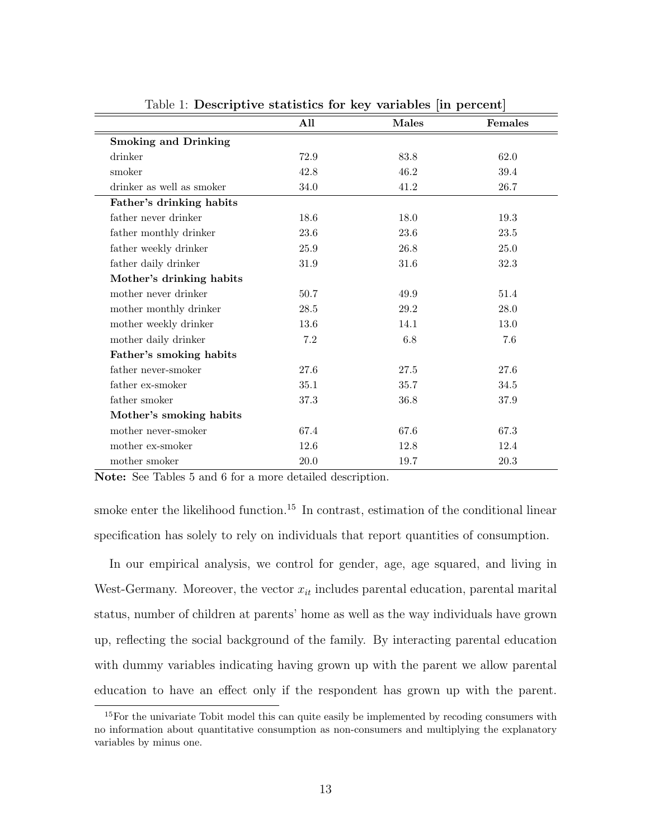| $\frac{1}{2}$ . Descriptive statistics for $\frac{1}{2}$ variables $\frac{1}{2}$ in percent |          |       |         |
|---------------------------------------------------------------------------------------------|----------|-------|---------|
|                                                                                             | All      | Males | Females |
| <b>Smoking and Drinking</b>                                                                 |          |       |         |
| drinker                                                                                     | 72.9     | 83.8  | 62.0    |
| smoker                                                                                      | 42.8     | 46.2  | 39.4    |
| drinker as well as smoker                                                                   | 34.0     | 41.2  | 26.7    |
| Father's drinking habits                                                                    |          |       |         |
| father never drinker                                                                        | 18.6     | 18.0  | 19.3    |
| father monthly drinker                                                                      | 23.6     | 23.6  | 23.5    |
| father weekly drinker                                                                       | 25.9     | 26.8  | 25.0    |
| father daily drinker                                                                        | 31.9     | 31.6  | 32.3    |
| Mother's drinking habits                                                                    |          |       |         |
| mother never drinker                                                                        | 50.7     | 49.9  | 51.4    |
| mother monthly drinker                                                                      | $28.5\,$ | 29.2  | 28.0    |
| mother weekly drinker                                                                       | 13.6     | 14.1  | 13.0    |
| mother daily drinker                                                                        | $7.2\,$  | 6.8   | 7.6     |
| Father's smoking habits                                                                     |          |       |         |
| father never-smoker                                                                         | 27.6     | 27.5  | 27.6    |
| father ex-smoker                                                                            | 35.1     | 35.7  | 34.5    |
| father smoker                                                                               | 37.3     | 36.8  | 37.9    |
| Mother's smoking habits                                                                     |          |       |         |
| mother never-smoker                                                                         | 67.4     | 67.6  | 67.3    |
| mother ex-smoker                                                                            | 12.6     | 12.8  | 12.4    |
| mother smoker                                                                               | 20.0     | 19.7  | 20.3    |

Table 1: Descriptive statistics for key variables [in percent]

Note: See Tables 5 and 6 for a more detailed description.

smoke enter the likelihood function.<sup>15</sup> In contrast, estimation of the conditional linear specification has solely to rely on individuals that report quantities of consumption.

In our empirical analysis, we control for gender, age, age squared, and living in West-Germany. Moreover, the vector  $x_{it}$  includes parental education, parental marital status, number of children at parents' home as well as the way individuals have grown up, reflecting the social background of the family. By interacting parental education with dummy variables indicating having grown up with the parent we allow parental education to have an effect only if the respondent has grown up with the parent.

<sup>&</sup>lt;sup>15</sup>For the univariate Tobit model this can quite easily be implemented by recoding consumers with no information about quantitative consumption as non-consumers and multiplying the explanatory variables by minus one.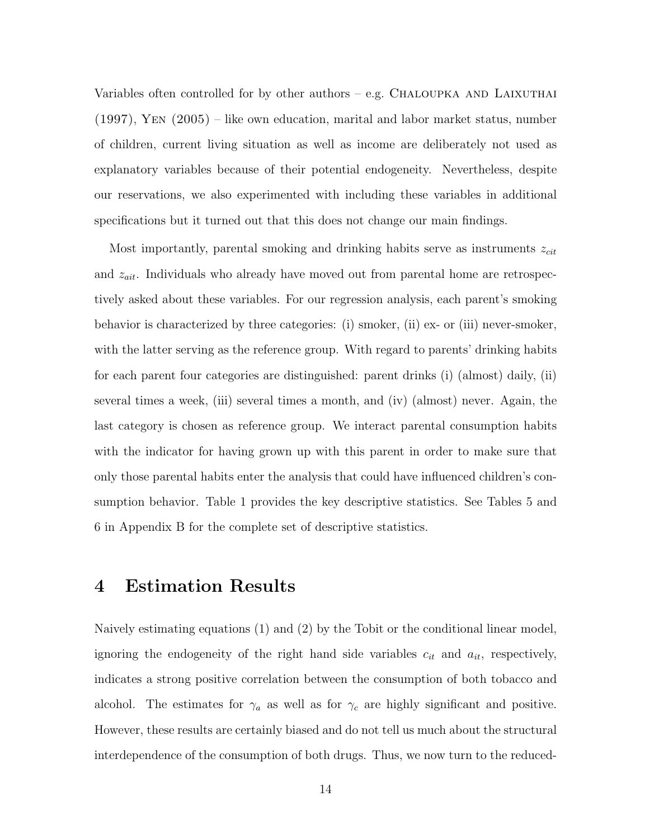Variables often controlled for by other authors – e.g. CHALOUPKA AND LAIXUTHAI (1997), Yen (2005) – like own education, marital and labor market status, number of children, current living situation as well as income are deliberately not used as explanatory variables because of their potential endogeneity. Nevertheless, despite our reservations, we also experimented with including these variables in additional specifications but it turned out that this does not change our main findings.

Most importantly, parental smoking and drinking habits serve as instruments  $z_{\text{cit}}$ and  $z_{ait}$ . Individuals who already have moved out from parental home are retrospectively asked about these variables. For our regression analysis, each parent's smoking behavior is characterized by three categories: (i) smoker, (ii) ex- or (iii) never-smoker, with the latter serving as the reference group. With regard to parents' drinking habits for each parent four categories are distinguished: parent drinks (i) (almost) daily, (ii) several times a week, (iii) several times a month, and (iv) (almost) never. Again, the last category is chosen as reference group. We interact parental consumption habits with the indicator for having grown up with this parent in order to make sure that only those parental habits enter the analysis that could have influenced children's consumption behavior. Table 1 provides the key descriptive statistics. See Tables 5 and 6 in Appendix B for the complete set of descriptive statistics.

## 4 Estimation Results

Naively estimating equations (1) and (2) by the Tobit or the conditional linear model, ignoring the endogeneity of the right hand side variables  $c_{it}$  and  $a_{it}$ , respectively, indicates a strong positive correlation between the consumption of both tobacco and alcohol. The estimates for  $\gamma_a$  as well as for  $\gamma_c$  are highly significant and positive. However, these results are certainly biased and do not tell us much about the structural interdependence of the consumption of both drugs. Thus, we now turn to the reduced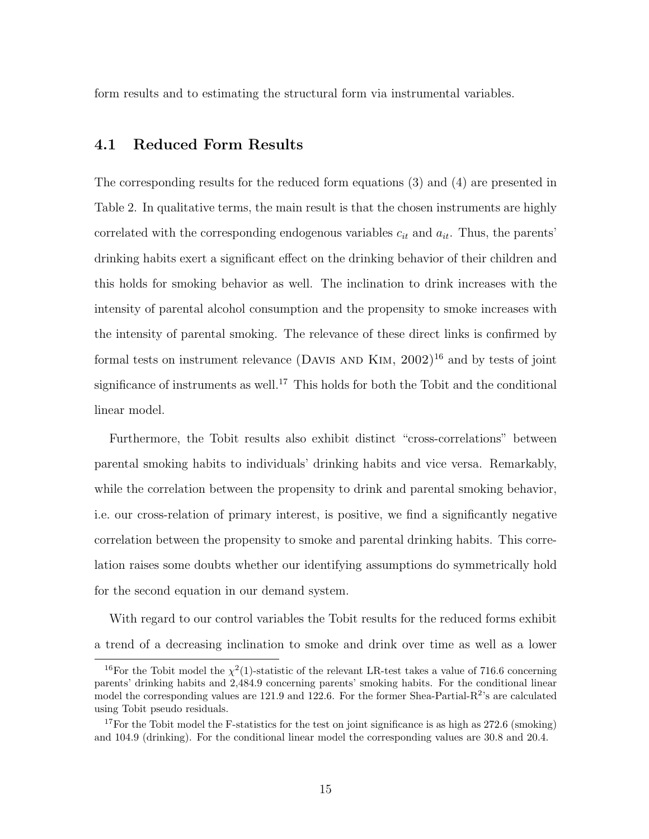form results and to estimating the structural form via instrumental variables.

#### 4.1 Reduced Form Results

The corresponding results for the reduced form equations (3) and (4) are presented in Table 2. In qualitative terms, the main result is that the chosen instruments are highly correlated with the corresponding endogenous variables  $c_{it}$  and  $a_{it}$ . Thus, the parents' drinking habits exert a significant effect on the drinking behavior of their children and this holds for smoking behavior as well. The inclination to drink increases with the intensity of parental alcohol consumption and the propensity to smoke increases with the intensity of parental smoking. The relevance of these direct links is confirmed by formal tests on instrument relevance (DAVIS AND KIM,  $2002$ )<sup>16</sup> and by tests of joint significance of instruments as well.<sup>17</sup> This holds for both the Tobit and the conditional linear model.

Furthermore, the Tobit results also exhibit distinct "cross-correlations" between parental smoking habits to individuals' drinking habits and vice versa. Remarkably, while the correlation between the propensity to drink and parental smoking behavior, i.e. our cross-relation of primary interest, is positive, we find a significantly negative correlation between the propensity to smoke and parental drinking habits. This correlation raises some doubts whether our identifying assumptions do symmetrically hold for the second equation in our demand system.

With regard to our control variables the Tobit results for the reduced forms exhibit a trend of a decreasing inclination to smoke and drink over time as well as a lower

<sup>&</sup>lt;sup>16</sup>For the Tobit model the  $\chi^2(1)$ -statistic of the relevant LR-test takes a value of 716.6 concerning parents' drinking habits and 2,484.9 concerning parents' smoking habits. For the conditional linear model the corresponding values are 121.9 and 122.6. For the former Shea-Partial- $R^2$ 's are calculated using Tobit pseudo residuals.

<sup>&</sup>lt;sup>17</sup>For the Tobit model the F-statistics for the test on joint significance is as high as  $272.6$  (smoking) and 104.9 (drinking). For the conditional linear model the corresponding values are 30.8 and 20.4.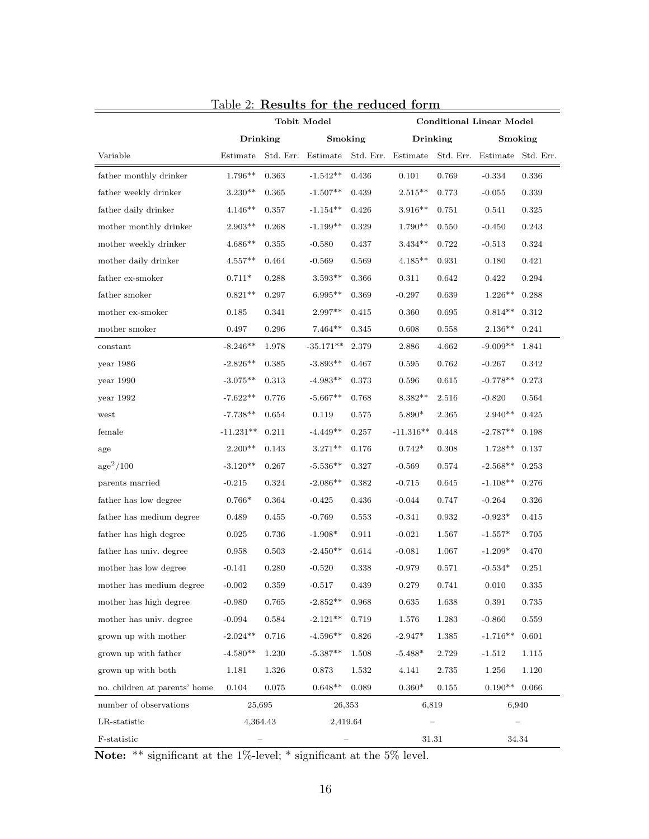|                               |                 | <b>Tobit Model</b> |             |       | <b>Conditional Linear Model</b>                                    |       |            |           |
|-------------------------------|-----------------|--------------------|-------------|-------|--------------------------------------------------------------------|-------|------------|-----------|
|                               | <b>Drinking</b> |                    | Smoking     |       | <b>Drinking</b>                                                    |       | Smoking    |           |
| Variable                      | Estimate        |                    |             |       | Std. Err. Estimate Std. Err. Estimate Std. Err. Estimate Std. Err. |       |            |           |
| father monthly drinker        | $1.796**$       | 0.363              | $-1.542**$  | 0.436 | 0.101                                                              | 0.769 | $-0.334$   | 0.336     |
| father weekly drinker         | $3.230**$       | 0.365              | $-1.507**$  | 0.439 | $2.515**$                                                          | 0.773 | $-0.055$   | 0.339     |
| father daily drinker          | $4.146**$       | 0.357              | $-1.154**$  | 0.426 | $3.916^{\ast\ast}$                                                 | 0.751 | 0.541      | 0.325     |
| mother monthly drinker        | $2.903**$       | 0.268              | $-1.199**$  | 0.329 | $1.790**$                                                          | 0.550 | $-0.450$   | 0.243     |
| mother weekly drinker         | $4.686**$       | 0.355              | $-0.580$    | 0.437 | $3.434**$                                                          | 0.722 | $-0.513$   | 0.324     |
| mother daily drinker          | $4.557**$       | 0.464              | $-0.569$    | 0.569 | $4.185**$                                                          | 0.931 | 0.180      | 0.421     |
| ${\rm father}$ ex-smoker      | $0.711*$        | 0.288              | $3.593**$   | 0.366 | 0.311                                                              | 0.642 | 0.422      | 0.294     |
| father smoker                 | $0.821**$       | 0.297              | $6.995**$   | 0.369 | $-0.297$                                                           | 0.639 | $1.226**$  | 0.288     |
| mother ex-smoker              | 0.185           | 0.341              | $2.997**$   | 0.415 | 0.360                                                              | 0.695 | $0.814**$  | 0.312     |
| mother smoker                 | 0.497           | 0.296              | $7.464**$   | 0.345 | 0.608                                                              | 0.558 | $2.136**$  | 0.241     |
| constant                      | $-8.246**$      | 1.978              | $-35.171**$ | 2.379 | 2.886                                                              | 4.662 | $-9.009**$ | 1.841     |
| year 1986                     | $-2.826**$      | 0.385              | $-3.893**$  | 0.467 | 0.595                                                              | 0.762 | $-0.267$   | 0.342     |
| year $1990$                   | $-3.075**$      | 0.313              | $-4.983**$  | 0.373 | 0.596                                                              | 0.615 | $-0.778**$ | 0.273     |
| year 1992                     | $-7.622**$      | 0.776              | $-5.667**$  | 0.768 | $8.382**$                                                          | 2.516 | $-0.820$   | 0.564     |
| west                          | $-7.738**$      | 0.654              | 0.119       | 0.575 | 5.890*                                                             | 2.365 | $2.940**$  | 0.425     |
| female                        | $-11.231**$     | 0.211              | $-4.449**$  | 0.257 | $-11.316**$                                                        | 0.448 | $-2.787**$ | 0.198     |
| age                           | $2.200**$       | 0.143              | $3.271**$   | 0.176 | $0.742*$                                                           | 0.308 | $1.728**$  | 0.137     |
| age <sup>2</sup> /100         | $-3.120**$      | 0.267              | $-5.536**$  | 0.327 | $-0.569$                                                           | 0.574 | $-2.568**$ | 0.253     |
| parents married               | $-0.215$        | 0.324              | $-2.086**$  | 0.382 | $-0.715$                                                           | 0.645 | $-1.108**$ | 0.276     |
| father has low degree         | $0.766*$        | 0.364              | $-0.425$    | 0.436 | $-0.044$                                                           | 0.747 | $-0.264$   | 0.326     |
| father has medium degree      | 0.489           | 0.455              | $-0.769$    | 0.553 | $-0.341$                                                           | 0.932 | $-0.923*$  | 0.415     |
| father has high degree        | 0.025           | 0.736              | $-1.908*$   | 0.911 | $-0.021$                                                           | 1.567 | $-1.557*$  | 0.705     |
| father has univ. degree       | 0.958           | 0.503              | $-2.450**$  | 0.614 | $-0.081$                                                           | 1.067 | $-1.209*$  | 0.470     |
| mother has low degree         | $-0.141$        | 0.280              | $-0.520$    | 0.338 | $-0.979$                                                           | 0.571 | $-0.534*$  | 0.251     |
| mother has medium degree      | $-0.002$        | 0.359              | $-0.517$    | 0.439 | 0.279                                                              | 0.741 | 0.010      | 0.335     |
| mother has high degree        | $-0.980$        | 0.765              | $-2.852**$  | 0.968 | 0.635                                                              | 1.638 | 0.391      | 0.735     |
| mother has univ. degree       | $-0.094$        | 0.584              | $-2.121**$  | 0.719 | 1.576                                                              | 1.283 | $-0.860$   | 0.559     |
| grown up with mother          | $-2.024**$      | 0.716              | $-4.596**$  | 0.826 | $-2.947*$                                                          | 1.385 | $-1.716**$ | 0.601     |
| grown up with father          | $-4.580**$      | 1.230              | $-5.387**$  | 1.508 | $-5.488*$                                                          | 2.729 | $-1.512$   | 1.115     |
| grown up with both            | 1.181           | 1.326              | 0.873       | 1.532 | 4.141                                                              | 2.735 | $1.256\,$  | $1.120\,$ |
| no. children at parents' home | $0.104\,$       | $\,0.075\,$        | $0.648**$   | 0.089 | $0.360*$                                                           | 0.155 | $0.190**$  | 0.066     |
| number of observations        | 25,695          |                    | 26,353      |       | 6,819                                                              |       | 6,940      |           |
| LR-statistic                  | 4,364.43        |                    | 2,419.64    |       |                                                                    |       |            |           |
| F-statistic                   |                 |                    |             |       | 31.31                                                              |       | 34.34      |           |

Table 2: Results for the reduced form

Note: \*\* significant at the 1%-level; \* significant at the 5% level.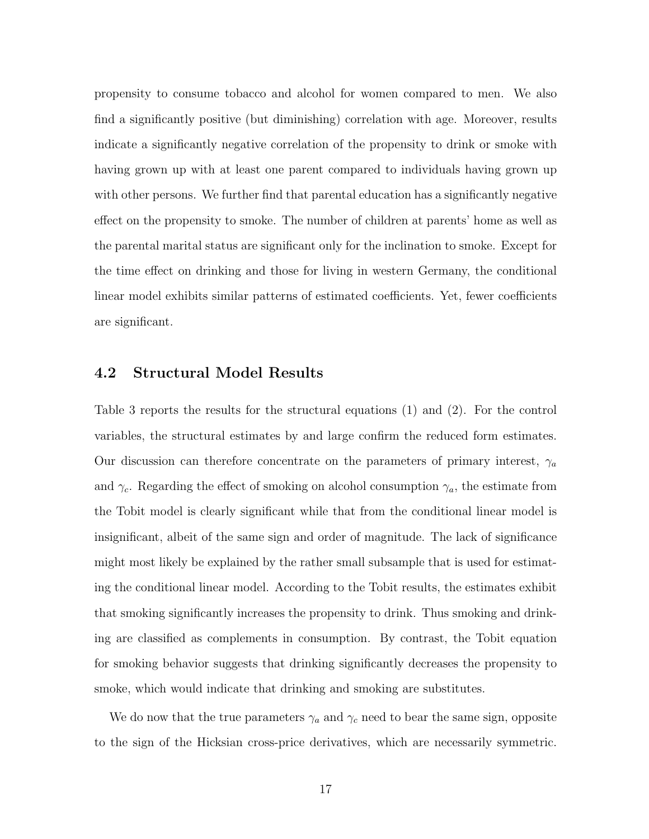propensity to consume tobacco and alcohol for women compared to men. We also find a significantly positive (but diminishing) correlation with age. Moreover, results indicate a significantly negative correlation of the propensity to drink or smoke with having grown up with at least one parent compared to individuals having grown up with other persons. We further find that parental education has a significantly negative effect on the propensity to smoke. The number of children at parents' home as well as the parental marital status are significant only for the inclination to smoke. Except for the time effect on drinking and those for living in western Germany, the conditional linear model exhibits similar patterns of estimated coefficients. Yet, fewer coefficients are significant.

#### 4.2 Structural Model Results

Table 3 reports the results for the structural equations (1) and (2). For the control variables, the structural estimates by and large confirm the reduced form estimates. Our discussion can therefore concentrate on the parameters of primary interest,  $\gamma_a$ and  $\gamma_c$ . Regarding the effect of smoking on alcohol consumption  $\gamma_a$ , the estimate from the Tobit model is clearly significant while that from the conditional linear model is insignificant, albeit of the same sign and order of magnitude. The lack of significance might most likely be explained by the rather small subsample that is used for estimating the conditional linear model. According to the Tobit results, the estimates exhibit that smoking significantly increases the propensity to drink. Thus smoking and drinking are classified as complements in consumption. By contrast, the Tobit equation for smoking behavior suggests that drinking significantly decreases the propensity to smoke, which would indicate that drinking and smoking are substitutes.

We do now that the true parameters  $\gamma_a$  and  $\gamma_c$  need to bear the same sign, opposite to the sign of the Hicksian cross-price derivatives, which are necessarily symmetric.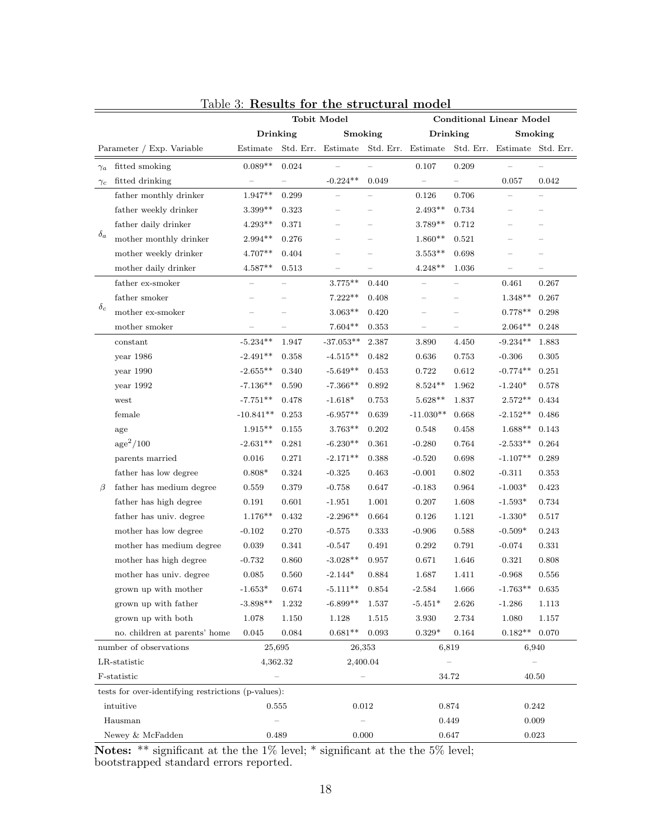|            |                                                     | <b>Tobit Model</b>       |           |                          |          | <b>Conditional Linear Model</b>                                    |       |                          |                          |
|------------|-----------------------------------------------------|--------------------------|-----------|--------------------------|----------|--------------------------------------------------------------------|-------|--------------------------|--------------------------|
|            |                                                     | Drinking                 |           | Smoking                  |          | Drinking                                                           |       |                          | Smoking                  |
|            | Parameter / Exp. Variable                           | Estimate                 |           |                          |          | Std. Err. Estimate Std. Err. Estimate Std. Err. Estimate Std. Err. |       |                          |                          |
| $\gamma_a$ | fitted smoking                                      | $0.089**$                | 0.024     |                          |          | 0.107                                                              | 0.209 |                          |                          |
| $\gamma_c$ | fitted drinking                                     |                          |           | $-0.224**$               | 0.049    |                                                                    |       | 0.057                    | 0.042                    |
|            | father monthly drinker                              | $1.947**$                | 0.299     | $\overline{\phantom{0}}$ |          | 0.126                                                              | 0.706 | $\overline{\phantom{0}}$ | $\overline{\phantom{0}}$ |
|            | father weekly drinker                               | 3.399**                  | 0.323     |                          |          | $2.493**$                                                          | 0.734 | $\overline{\phantom{0}}$ | $-$                      |
|            | father daily drinker                                | $4.293**$                | 0.371     |                          |          | $3.789**$                                                          | 0.712 |                          | $\overline{\phantom{0}}$ |
| $\delta_a$ | mother monthly drinker                              | $2.994**$                | $0.276\,$ |                          |          | $1.860**$                                                          | 0.521 |                          |                          |
|            | mother weekly drinker                               | $4.707**$                | 0.404     |                          |          | $3.553**$                                                          | 0.698 |                          |                          |
|            | mother daily drinker                                | $4.587**$                | 0.513     |                          |          | $4.248**$                                                          | 1.036 |                          |                          |
|            | father ex-smoker                                    | $\overline{\phantom{0}}$ |           | $3.775***$               | 0.440    |                                                                    |       | 0.461                    | 0.267                    |
|            | father smoker                                       | $\qquad \qquad$          |           | $7.222**$                | 0.408    | $\overline{\phantom{0}}$                                           |       | $1.348**$                | 0.267                    |
| $\delta_c$ | mother ex-smoker                                    |                          |           | $3.063**$                | 0.420    |                                                                    |       | $0.778**$                | 0.298                    |
|            | mother smoker                                       |                          |           | $7.604**$                | 0.353    |                                                                    |       | $2.064^{\ast\ast}$       | 0.248                    |
|            | constant                                            | $-5.234**$               | 1.947     | $-37.053**$              | 2.387    | 3.890                                                              | 4.450 | $-9.234**$               | 1.883                    |
|            | year 1986                                           | $-2.491**$               | 0.358     | $-4.515**$               | 0.482    | 0.636                                                              | 0.753 | $-0.306$                 | 0.305                    |
|            | year 1990                                           | $-2.655**$               | 0.340     | $-5.649**$               | 0.453    | 0.722                                                              | 0.612 | $-0.774**$               | 0.251                    |
|            | year 1992                                           | $-7.136**$               | 0.590     | $-7.366**$               | 0.892    | $8.524**$                                                          | 1.962 | $-1.240*$                | 0.578                    |
|            | west                                                | $-7.751**$               | 0.478     | $-1.618*$                | 0.753    | $5.628**$                                                          | 1.837 | $2.572**$                | 0.434                    |
|            | female                                              | $-10.841**$              | 0.253     | $-6.957**$               | 0.639    | $-11.030**$                                                        | 0.668 | $-2.152**$               | 0.486                    |
|            | age                                                 | $1.915**$                | 0.155     | $3.763**$                | 0.202    | 0.548                                                              | 0.458 | $1.688**$                | 0.143                    |
|            | age <sup>2</sup> /100                               | $-2.631**$               | 0.281     | $-6.230**$               | 0.361    | $-0.280$                                                           | 0.764 | $-2.533**$               | 0.264                    |
|            | parents married                                     | 0.016                    | 0.271     | $-2.171**$               | 0.388    | $-0.520$                                                           | 0.698 | $-1.107**$               | 0.289                    |
|            | father has low degree                               | $0.808*$                 | 0.324     | $-0.325$                 | 0.463    | $-0.001$                                                           | 0.802 | $-0.311$                 | 0.353                    |
| $\beta$    | father has medium degree                            | 0.559                    | 0.379     | $-0.758$                 | 0.647    | $-0.183$                                                           | 0.964 | $-1.003*$                | 0.423                    |
|            | father has high degree                              | 0.191                    | 0.601     | $-1.951$                 | 1.001    | 0.207                                                              | 1.608 | $-1.593*$                | 0.734                    |
|            | father has univ. degree                             | $1.176**$                | 0.432     | $-2.296**$               | 0.664    | 0.126                                                              | 1.121 | $-1.330*$                | 0.517                    |
|            | mother has low degree                               | $-0.102$                 | 0.270     | $-0.575$                 | 0.333    | $-0.906$                                                           | 0.588 | $-0.509*$                | 0.243                    |
|            | mother has medium degree                            | 0.039                    | 0.341     | $-0.547$                 | 0.491    | 0.292                                                              | 0.791 | $-0.074$                 | 0.331                    |
|            | mother has high degree                              | $-0.732$                 | 0.860     | $-3.028**$               | 0.957    | 0.671                                                              | 1.646 | 0.321                    | 0.808                    |
|            | mother has univ. degree                             | 0.085                    | 0.560     | $-2.144*$                | 0.884    | 1.687                                                              | 1.411 | $-0.968$                 | 0.556                    |
|            | grown up with mother                                | $-1.653*$                | 0.674     | $-5.111**$               | 0.854    | $-2.584$                                                           | 1.666 | $-1.763**$               | 0.635                    |
|            | grown up with father                                | $-3.898**$               | 1.232     | $-6.899**$               | 1.537    | $-5.451*$                                                          | 2.626 | $-1.286$                 | $1.113\,$                |
|            | grown up with both                                  | 1.078                    | 1.150     | $1.128\,$                | 1.515    | 3.930                                                              | 2.734 | 1.080                    | 1.157                    |
|            | no. children at parents' home                       | 0.045                    | 0.084     | $0.681**$                | 0.093    | $0.329*$                                                           | 0.164 | $0.182**$                | 0.070                    |
|            | number of observations                              |                          | 25,695    | 26,353                   |          | 6,819                                                              |       |                          | 6,940                    |
|            | LR-statistic                                        |                          | 4,362.32  |                          | 2,400.04 |                                                                    |       |                          |                          |
|            | F-statistic                                         |                          |           |                          |          |                                                                    | 34.72 |                          | 40.50                    |
|            | tests for over-identifying restrictions (p-values): |                          |           |                          |          |                                                                    |       |                          |                          |
|            | intuitive                                           | 0.555                    |           |                          | 0.012    | 0.874                                                              |       | 0.242                    |                          |
|            | Hausman                                             |                          |           | $\qquad \qquad -$        |          | 0.449                                                              |       |                          | 0.009                    |
|            | Newey & McFadden                                    | 0.489                    |           |                          | 0.000    | 0.647                                                              |       |                          | 0.023                    |

### Table 3: Results for the structural model

Notes: \*\* significant at the the 1% level; \* significant at the the 5% level; bootstrapped standard errors reported.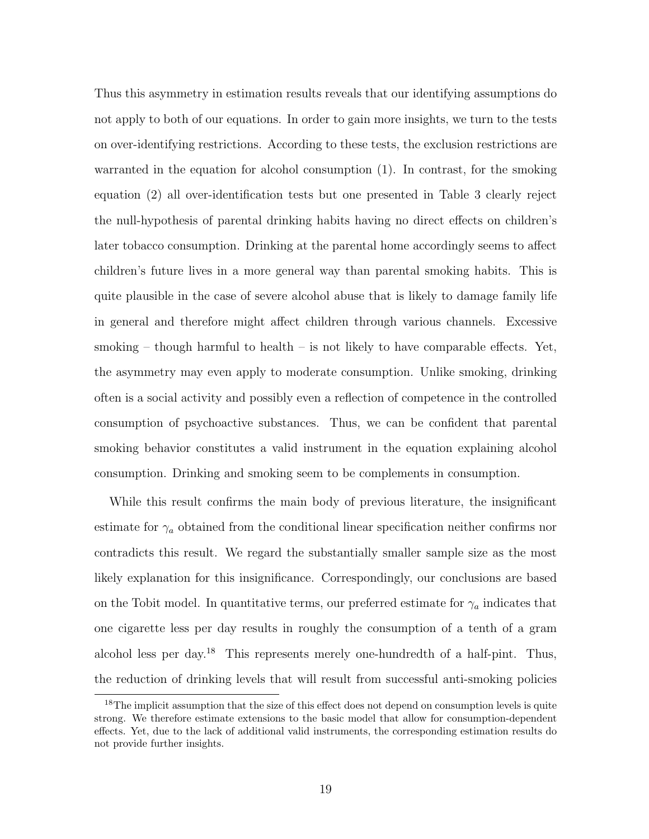Thus this asymmetry in estimation results reveals that our identifying assumptions do not apply to both of our equations. In order to gain more insights, we turn to the tests on over-identifying restrictions. According to these tests, the exclusion restrictions are warranted in the equation for alcohol consumption (1). In contrast, for the smoking equation (2) all over-identification tests but one presented in Table 3 clearly reject the null-hypothesis of parental drinking habits having no direct effects on children's later tobacco consumption. Drinking at the parental home accordingly seems to affect children's future lives in a more general way than parental smoking habits. This is quite plausible in the case of severe alcohol abuse that is likely to damage family life in general and therefore might affect children through various channels. Excessive smoking – though harmful to health – is not likely to have comparable effects. Yet, the asymmetry may even apply to moderate consumption. Unlike smoking, drinking often is a social activity and possibly even a reflection of competence in the controlled consumption of psychoactive substances. Thus, we can be confident that parental smoking behavior constitutes a valid instrument in the equation explaining alcohol consumption. Drinking and smoking seem to be complements in consumption.

While this result confirms the main body of previous literature, the insignificant estimate for  $\gamma_a$  obtained from the conditional linear specification neither confirms nor contradicts this result. We regard the substantially smaller sample size as the most likely explanation for this insignificance. Correspondingly, our conclusions are based on the Tobit model. In quantitative terms, our preferred estimate for  $\gamma_a$  indicates that one cigarette less per day results in roughly the consumption of a tenth of a gram alcohol less per day.<sup>18</sup> This represents merely one-hundredth of a half-pint. Thus, the reduction of drinking levels that will result from successful anti-smoking policies

<sup>&</sup>lt;sup>18</sup>The implicit assumption that the size of this effect does not depend on consumption levels is quite strong. We therefore estimate extensions to the basic model that allow for consumption-dependent effects. Yet, due to the lack of additional valid instruments, the corresponding estimation results do not provide further insights.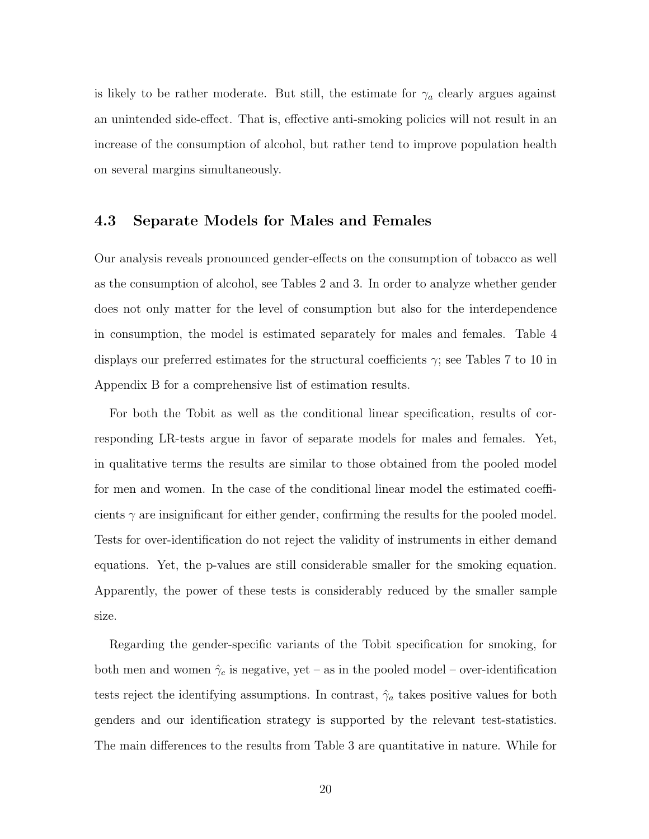is likely to be rather moderate. But still, the estimate for  $\gamma_a$  clearly argues against an unintended side-effect. That is, effective anti-smoking policies will not result in an increase of the consumption of alcohol, but rather tend to improve population health on several margins simultaneously.

#### 4.3 Separate Models for Males and Females

Our analysis reveals pronounced gender-effects on the consumption of tobacco as well as the consumption of alcohol, see Tables 2 and 3. In order to analyze whether gender does not only matter for the level of consumption but also for the interdependence in consumption, the model is estimated separately for males and females. Table 4 displays our preferred estimates for the structural coefficients  $\gamma$ ; see Tables 7 to 10 in Appendix B for a comprehensive list of estimation results.

For both the Tobit as well as the conditional linear specification, results of corresponding LR-tests argue in favor of separate models for males and females. Yet, in qualitative terms the results are similar to those obtained from the pooled model for men and women. In the case of the conditional linear model the estimated coefficients  $\gamma$  are insignificant for either gender, confirming the results for the pooled model. Tests for over-identification do not reject the validity of instruments in either demand equations. Yet, the p-values are still considerable smaller for the smoking equation. Apparently, the power of these tests is considerably reduced by the smaller sample size.

Regarding the gender-specific variants of the Tobit specification for smoking, for both men and women  $\hat{\gamma}_c$  is negative, yet – as in the pooled model – over-identification tests reject the identifying assumptions. In contrast,  $\hat{\gamma}_a$  takes positive values for both genders and our identification strategy is supported by the relevant test-statistics. The main differences to the results from Table 3 are quantitative in nature. While for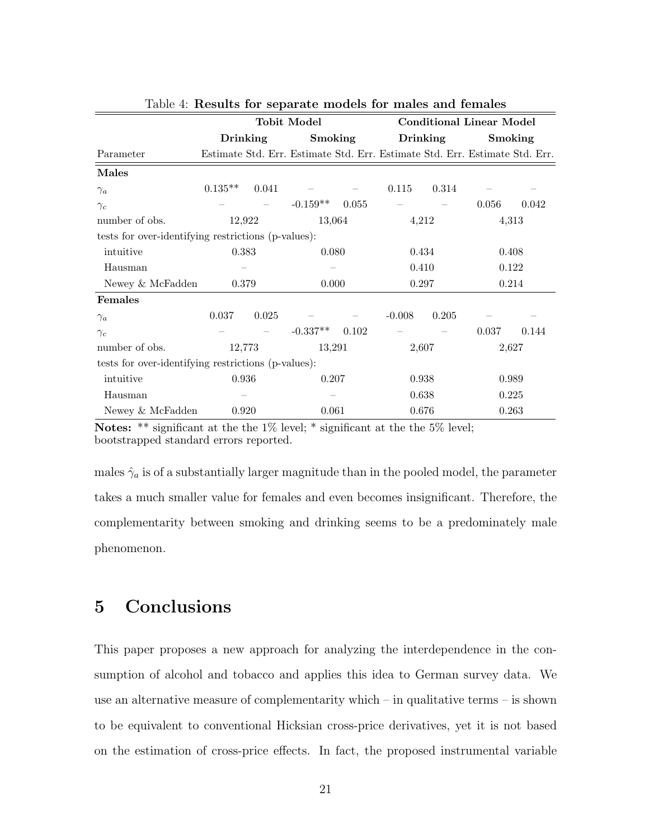|                                                     |           |          | <b>Tobit Model</b>                                                          |       |          |          | <b>Conditional Linear Model</b> |       |
|-----------------------------------------------------|-----------|----------|-----------------------------------------------------------------------------|-------|----------|----------|---------------------------------|-------|
|                                                     |           | Drinking | Smoking                                                                     |       |          | Drinking | Smoking                         |       |
| Parameter                                           |           |          | Estimate Std. Err. Estimate Std. Err. Estimate Std. Err. Estimate Std. Err. |       |          |          |                                 |       |
| Males                                               |           |          |                                                                             |       |          |          |                                 |       |
| $\gamma_a$                                          | $0.135**$ | 0.041    |                                                                             |       | 0.115    | 0.314    |                                 |       |
| $\gamma_c$                                          |           |          | $-0.159**$                                                                  | 0.055 |          |          | 0.056                           | 0.042 |
| number of obs.                                      | 12,922    |          | 13,064                                                                      |       | 4,212    |          |                                 | 4,313 |
| tests for over-identifying restrictions (p-values): |           |          |                                                                             |       |          |          |                                 |       |
| intuitive                                           | 0.383     |          | 0.080                                                                       |       | 0.434    |          | 0.408                           |       |
| Hausman                                             |           |          |                                                                             |       | 0.410    |          |                                 | 0.122 |
| Newey & McFadden                                    | 0.379     |          | 0.000                                                                       |       | 0.297    |          |                                 | 0.214 |
| Females                                             |           |          |                                                                             |       |          |          |                                 |       |
| $\gamma_a$                                          | 0.037     | 0.025    |                                                                             |       | $-0.008$ | 0.205    |                                 |       |
| $\gamma_c$                                          |           |          | $-0.337**$                                                                  | 0.102 |          |          | 0.037                           | 0.144 |
| number of obs.                                      |           | 12,773   | 13,291                                                                      |       | 2,607    |          | 2,627                           |       |
| tests for over-identifying restrictions (p-values): |           |          |                                                                             |       |          |          |                                 |       |
| intuitive                                           | 0.936     |          | 0.207                                                                       |       | 0.938    |          |                                 | 0.989 |
| Hausman                                             |           |          |                                                                             |       | 0.638    |          | 0.225                           |       |
| Newey & McFadden                                    | 0.920     |          | 0.061                                                                       |       | 0.676    |          | 0.263                           |       |

|  | Table 4: Results for separate models for males and females |  |  |  |
|--|------------------------------------------------------------|--|--|--|
|  |                                                            |  |  |  |

Notes: \*\* significant at the the 1% level; \* significant at the the 5% level; bootstrapped standard errors reported.

males  $\hat{\gamma}_a$  is of a substantially larger magnitude than in the pooled model, the parameter takes a much smaller value for females and even becomes insignificant. Therefore, the complementarity between smoking and drinking seems to be a predominately male phenomenon.

## 5 Conclusions

This paper proposes a new approach for analyzing the interdependence in the consumption of alcohol and tobacco and applies this idea to German survey data. We use an alternative measure of complementarity which – in qualitative terms – is shown to be equivalent to conventional Hicksian cross-price derivatives, yet it is not based on the estimation of cross-price effects. In fact, the proposed instrumental variable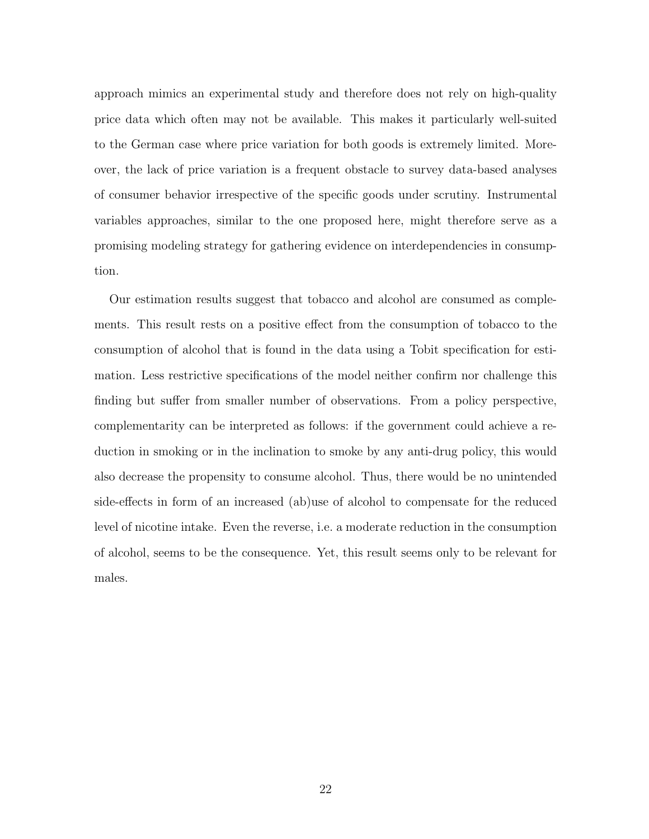approach mimics an experimental study and therefore does not rely on high-quality price data which often may not be available. This makes it particularly well-suited to the German case where price variation for both goods is extremely limited. Moreover, the lack of price variation is a frequent obstacle to survey data-based analyses of consumer behavior irrespective of the specific goods under scrutiny. Instrumental variables approaches, similar to the one proposed here, might therefore serve as a promising modeling strategy for gathering evidence on interdependencies in consumption.

Our estimation results suggest that tobacco and alcohol are consumed as complements. This result rests on a positive effect from the consumption of tobacco to the consumption of alcohol that is found in the data using a Tobit specification for estimation. Less restrictive specifications of the model neither confirm nor challenge this finding but suffer from smaller number of observations. From a policy perspective, complementarity can be interpreted as follows: if the government could achieve a reduction in smoking or in the inclination to smoke by any anti-drug policy, this would also decrease the propensity to consume alcohol. Thus, there would be no unintended side-effects in form of an increased (ab)use of alcohol to compensate for the reduced level of nicotine intake. Even the reverse, i.e. a moderate reduction in the consumption of alcohol, seems to be the consequence. Yet, this result seems only to be relevant for males.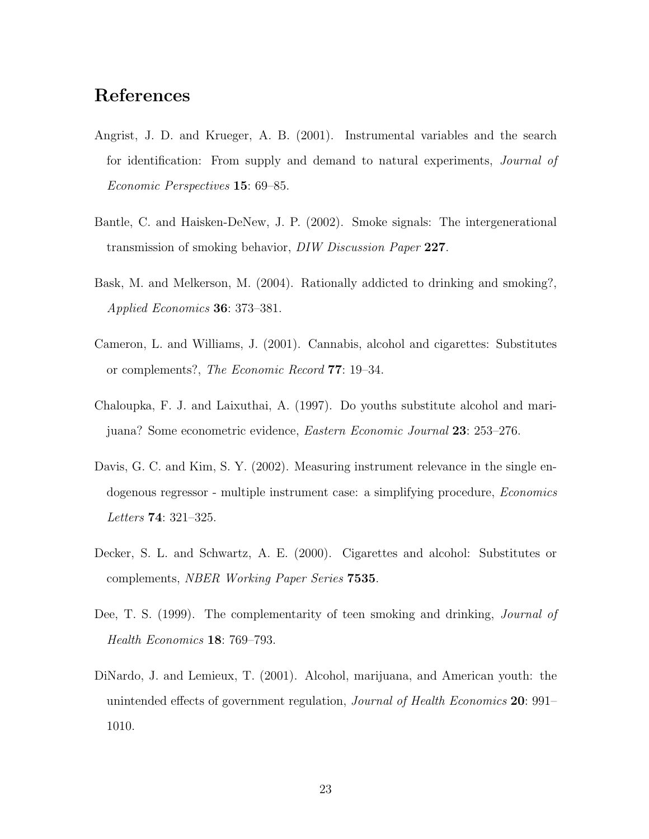## References

- Angrist, J. D. and Krueger, A. B. (2001). Instrumental variables and the search for identification: From supply and demand to natural experiments, Journal of Economic Perspectives 15: 69–85.
- Bantle, C. and Haisken-DeNew, J. P. (2002). Smoke signals: The intergenerational transmission of smoking behavior, DIW Discussion Paper 227.
- Bask, M. and Melkerson, M. (2004). Rationally addicted to drinking and smoking?, Applied Economics 36: 373–381.
- Cameron, L. and Williams, J. (2001). Cannabis, alcohol and cigarettes: Substitutes or complements?, The Economic Record 77: 19–34.
- Chaloupka, F. J. and Laixuthai, A. (1997). Do youths substitute alcohol and marijuana? Some econometric evidence, Eastern Economic Journal 23: 253–276.
- Davis, G. C. and Kim, S. Y. (2002). Measuring instrument relevance in the single endogenous regressor - multiple instrument case: a simplifying procedure, Economics Letters 74: 321–325.
- Decker, S. L. and Schwartz, A. E. (2000). Cigarettes and alcohol: Substitutes or complements, NBER Working Paper Series 7535.
- Dee, T. S. (1999). The complementarity of teen smoking and drinking, Journal of Health Economics 18: 769–793.
- DiNardo, J. and Lemieux, T. (2001). Alcohol, marijuana, and American youth: the unintended effects of government regulation, Journal of Health Economics 20: 991– 1010.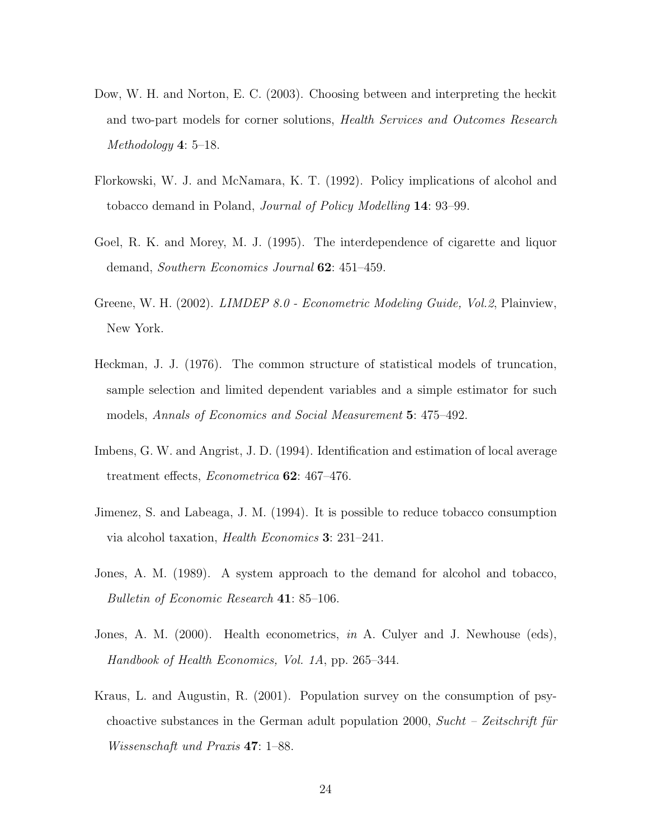- Dow, W. H. and Norton, E. C. (2003). Choosing between and interpreting the heckit and two-part models for corner solutions, Health Services and Outcomes Research Methodology 4: 5–18.
- Florkowski, W. J. and McNamara, K. T. (1992). Policy implications of alcohol and tobacco demand in Poland, Journal of Policy Modelling 14: 93–99.
- Goel, R. K. and Morey, M. J. (1995). The interdependence of cigarette and liquor demand, Southern Economics Journal 62: 451–459.
- Greene, W. H. (2002). *LIMDEP 8.0 Econometric Modeling Guide*, *Vol.2*, Plainview, New York.
- Heckman, J. J. (1976). The common structure of statistical models of truncation, sample selection and limited dependent variables and a simple estimator for such models, Annals of Economics and Social Measurement 5: 475–492.
- Imbens, G. W. and Angrist, J. D. (1994). Identification and estimation of local average treatment effects, Econometrica 62: 467–476.
- Jimenez, S. and Labeaga, J. M. (1994). It is possible to reduce tobacco consumption via alcohol taxation, Health Economics 3: 231–241.
- Jones, A. M. (1989). A system approach to the demand for alcohol and tobacco, Bulletin of Economic Research 41: 85–106.
- Jones, A. M. (2000). Health econometrics, in A. Culyer and J. Newhouse (eds), Handbook of Health Economics, Vol. 1A, pp. 265–344.
- Kraus, L. and Augustin, R. (2001). Population survey on the consumption of psychoactive substances in the German adult population 2000,  $Such - Zeitschrift$  für Wissenschaft und Praxis 47: 1–88.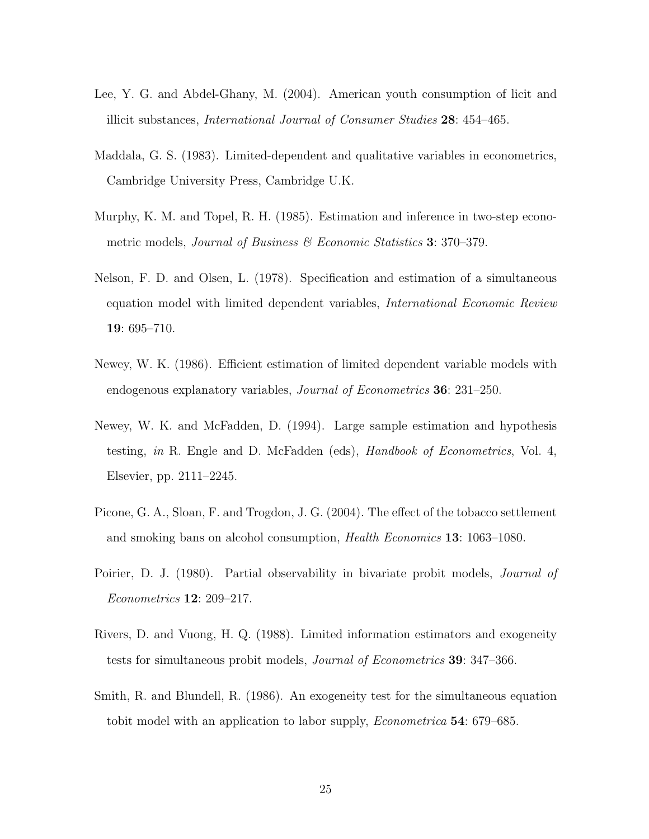- Lee, Y. G. and Abdel-Ghany, M. (2004). American youth consumption of licit and illicit substances, International Journal of Consumer Studies 28: 454–465.
- Maddala, G. S. (1983). Limited-dependent and qualitative variables in econometrics, Cambridge University Press, Cambridge U.K.
- Murphy, K. M. and Topel, R. H. (1985). Estimation and inference in two-step econometric models, Journal of Business  $\mathscr B$  Economic Statistics 3: 370–379.
- Nelson, F. D. and Olsen, L. (1978). Specification and estimation of a simultaneous equation model with limited dependent variables, International Economic Review 19: 695–710.
- Newey, W. K. (1986). Efficient estimation of limited dependent variable models with endogenous explanatory variables, Journal of Econometrics 36: 231–250.
- Newey, W. K. and McFadden, D. (1994). Large sample estimation and hypothesis testing, in R. Engle and D. McFadden (eds), Handbook of Econometrics, Vol. 4, Elsevier, pp. 2111–2245.
- Picone, G. A., Sloan, F. and Trogdon, J. G. (2004). The effect of the tobacco settlement and smoking bans on alcohol consumption, Health Economics 13: 1063–1080.
- Poirier, D. J. (1980). Partial observability in bivariate probit models, *Journal of* Econometrics 12: 209–217.
- Rivers, D. and Vuong, H. Q. (1988). Limited information estimators and exogeneity tests for simultaneous probit models, Journal of Econometrics 39: 347–366.
- Smith, R. and Blundell, R. (1986). An exogeneity test for the simultaneous equation tobit model with an application to labor supply, Econometrica 54: 679–685.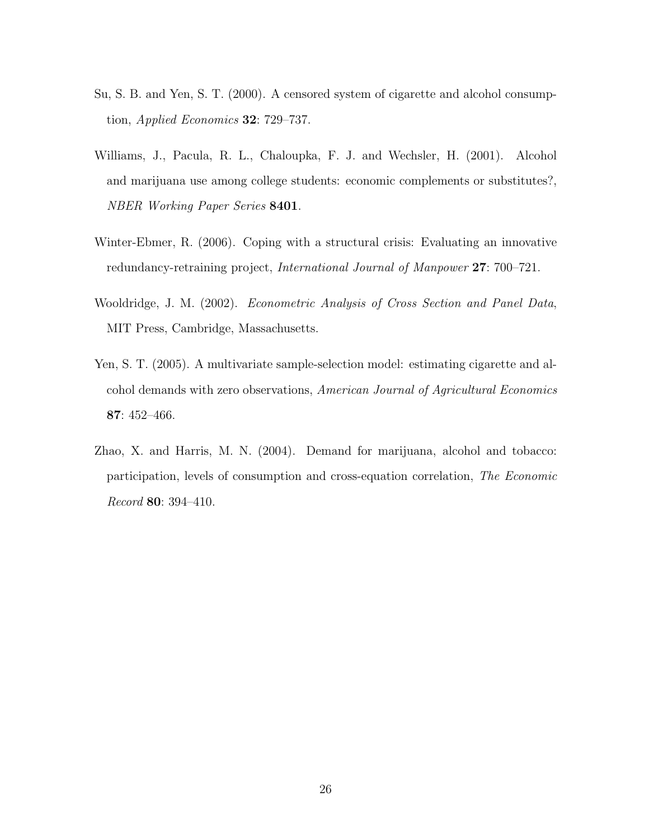- Su, S. B. and Yen, S. T. (2000). A censored system of cigarette and alcohol consumption, Applied Economics 32: 729–737.
- Williams, J., Pacula, R. L., Chaloupka, F. J. and Wechsler, H. (2001). Alcohol and marijuana use among college students: economic complements or substitutes?, NBER Working Paper Series 8401.
- Winter-Ebmer, R. (2006). Coping with a structural crisis: Evaluating an innovative redundancy-retraining project, International Journal of Manpower 27: 700–721.
- Wooldridge, J. M. (2002). Econometric Analysis of Cross Section and Panel Data, MIT Press, Cambridge, Massachusetts.
- Yen, S. T. (2005). A multivariate sample-selection model: estimating cigarette and alcohol demands with zero observations, American Journal of Agricultural Economics 87: 452–466.
- Zhao, X. and Harris, M. N. (2004). Demand for marijuana, alcohol and tobacco: participation, levels of consumption and cross-equation correlation, The Economic Record 80: 394–410.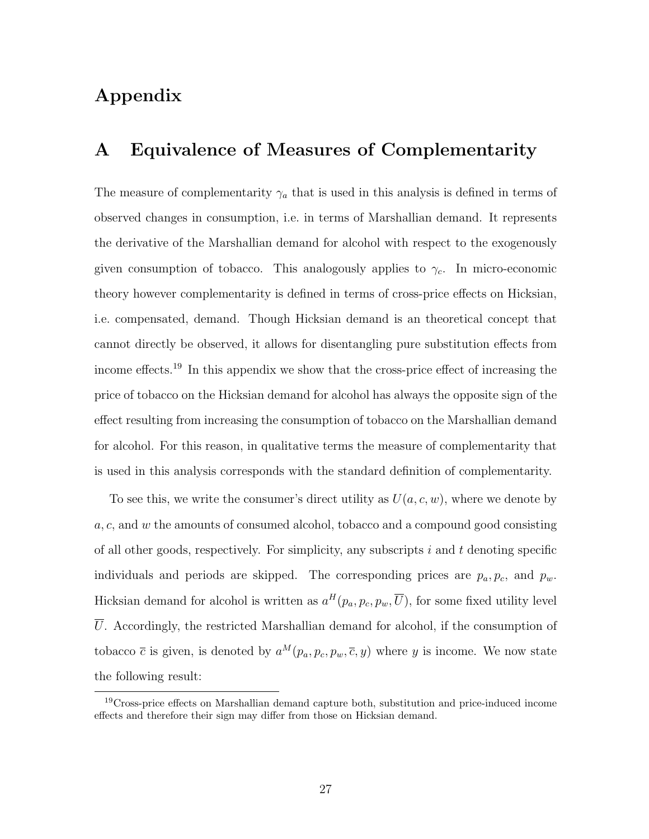## Appendix

## A Equivalence of Measures of Complementarity

The measure of complementarity  $\gamma_a$  that is used in this analysis is defined in terms of observed changes in consumption, i.e. in terms of Marshallian demand. It represents the derivative of the Marshallian demand for alcohol with respect to the exogenously given consumption of tobacco. This analogously applies to  $\gamma_c$ . In micro-economic theory however complementarity is defined in terms of cross-price effects on Hicksian, i.e. compensated, demand. Though Hicksian demand is an theoretical concept that cannot directly be observed, it allows for disentangling pure substitution effects from income effects.<sup>19</sup> In this appendix we show that the cross-price effect of increasing the price of tobacco on the Hicksian demand for alcohol has always the opposite sign of the effect resulting from increasing the consumption of tobacco on the Marshallian demand for alcohol. For this reason, in qualitative terms the measure of complementarity that is used in this analysis corresponds with the standard definition of complementarity.

To see this, we write the consumer's direct utility as  $U(a, c, w)$ , where we denote by a, c, and w the amounts of consumed alcohol, tobacco and a compound good consisting of all other goods, respectively. For simplicity, any subscripts  $i$  and  $t$  denoting specific individuals and periods are skipped. The corresponding prices are  $p_a, p_c$ , and  $p_w$ . Hicksian demand for alcohol is written as  $a^H(p_a, p_c, p_w, \overline{U})$ , for some fixed utility level  $\overline{U}$ . Accordingly, the restricted Marshallian demand for alcohol, if the consumption of tobacco  $\bar{c}$  is given, is denoted by  $a^M(p_a, p_c, p_w, \bar{c}, y)$  where y is income. We now state the following result:

<sup>&</sup>lt;sup>19</sup>Cross-price effects on Marshallian demand capture both, substitution and price-induced income effects and therefore their sign may differ from those on Hicksian demand.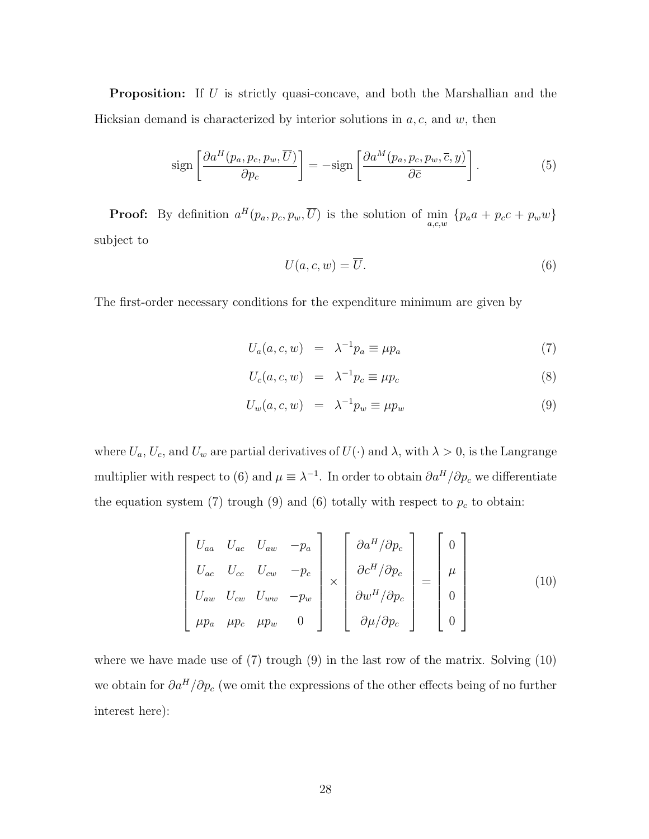**Proposition:** If U is strictly quasi-concave, and both the Marshallian and the Hicksian demand is characterized by interior solutions in  $a, c$ , and w, then

$$
\operatorname{sign}\left[\frac{\partial a^H(p_a, p_c, p_w, \overline{U})}{\partial p_c}\right] = -\operatorname{sign}\left[\frac{\partial a^M(p_a, p_c, p_w, \overline{c}, y)}{\partial \overline{c}}\right].\tag{5}
$$

**Proof:** By definition  $a^H(p_a, p_c, p_w, \overline{U})$  is the solution of  $\min_{a,c,w} \{p_a a + p_c c + p_w w\}$ subject to

$$
U(a,c,w) = \overline{U}.
$$
\n<sup>(6)</sup>

The first-order necessary conditions for the expenditure minimum are given by

$$
U_a(a, c, w) = \lambda^{-1} p_a \equiv \mu p_a \tag{7}
$$

$$
U_c(a, c, w) = \lambda^{-1} p_c \equiv \mu p_c \tag{8}
$$

$$
U_w(a, c, w) = \lambda^{-1} p_w \equiv \mu p_w \tag{9}
$$

where  $U_a$ ,  $U_c$ , and  $U_w$  are partial derivatives of  $U(\cdot)$  and  $\lambda$ , with  $\lambda > 0$ , is the Langrange multiplier with respect to (6) and  $\mu \equiv \lambda^{-1}$ . In order to obtain  $\partial a^H / \partial p_c$  we differentiate the equation system (7) trough (9) and (6) totally with respect to  $p_c$  to obtain:

$$
\begin{bmatrix}\nU_{aa} & U_{ac} & U_{aw} & -p_a \\
U_{ac} & U_{cc} & U_{cw} & -p_c \\
U_{aw} & U_{cw} & U_{ww} & -p_w \\
\mu p_a & \mu p_c & \mu p_w & 0\n\end{bmatrix}\n\times\n\begin{bmatrix}\n\partial a^H / \partial p_c \\
\partial c^H / \partial p_c \\
\partial w^H / \partial p_c\n\end{bmatrix}\n=\n\begin{bmatrix}\n0 \\
\mu \\
0 \\
0\n\end{bmatrix}
$$
\n(10)

where we have made use of (7) trough (9) in the last row of the matrix. Solving (10) we obtain for  $\partial a^H/\partial p_c$  (we omit the expressions of the other effects being of no further interest here):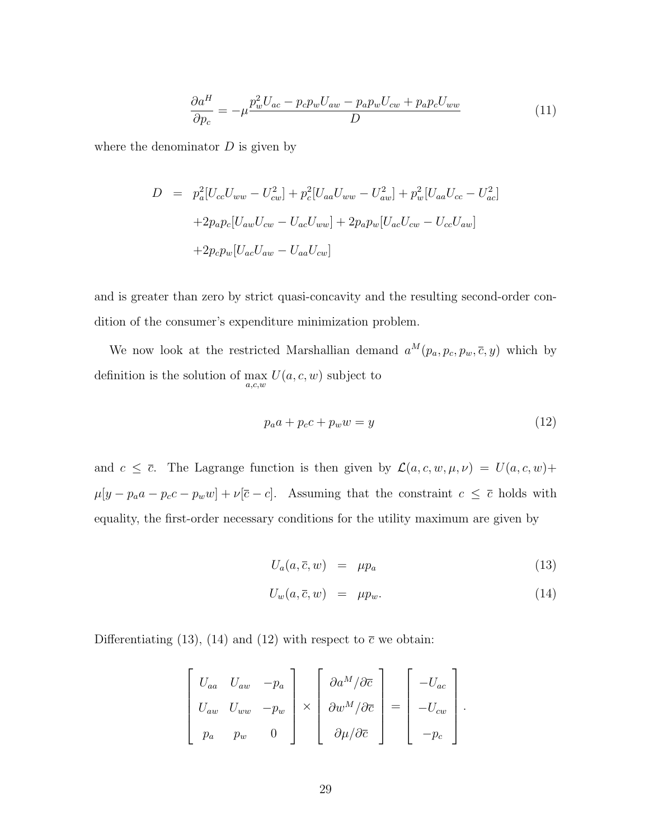$$
\frac{\partial a^H}{\partial p_c} = -\mu \frac{p_w^2 U_{ac} - p_c p_w U_{aw} - p_a p_w U_{cw} + p_a p_c U_{ww}}{D} \tag{11}
$$

where the denominator  $D$  is given by

$$
D = p_a^2 [U_{cc} U_{ww} - U_{cw}^2] + p_c^2 [U_{aa} U_{ww} - U_{aw}^2] + p_w^2 [U_{aa} U_{cc} - U_{ac}^2]
$$
  
+2p\_a p\_c [U\_{aw} U\_{cw} - U\_{ac} U\_{ww}] + 2p\_a p\_w [U\_{ac} U\_{cw} - U\_{cc} U\_{aw}]  
+2p\_c p\_w [U\_{ac} U\_{aw} - U\_{aa} U\_{cw}]

and is greater than zero by strict quasi-concavity and the resulting second-order condition of the consumer's expenditure minimization problem.

We now look at the restricted Marshallian demand  $a^M(p_a, p_c, p_w, \overline{c}, y)$  which by definition is the solution of  $\max_{a,c,w} U(a,c,w)$  subject to

$$
p_a a + p_c c + p_w w = y \tag{12}
$$

and  $c \leq \overline{c}$ . The Lagrange function is then given by  $\mathcal{L}(a, c, w, \mu, \nu) = U(a, c, w) +$  $\mu[y - p_a a - p_c c - p_w w] + \nu[\bar{c} - c]$ . Assuming that the constraint  $c \le \bar{c}$  holds with equality, the first-order necessary conditions for the utility maximum are given by

$$
U_a(a, \overline{c}, w) = \mu p_a \tag{13}
$$

$$
U_w(a, \overline{c}, w) = \mu p_w. \tag{14}
$$

Differentiating (13), (14) and (12) with respect to  $\bar{c}$  we obtain:

$$
\begin{bmatrix}\nU_{aa} & U_{aw} & -p_a \\
U_{aw} & U_{ww} & -p_w \\
p_a & p_w & 0\n\end{bmatrix}\n\times\n\begin{bmatrix}\n\frac{\partial a^M}{\partial \bar{c}} \\
\frac{\partial w^M}{\partial \bar{c}}\n\end{bmatrix}\n=\n\begin{bmatrix}\n-U_{ac} \\
-U_{cw} \\
-D_{cw}\n\end{bmatrix}.
$$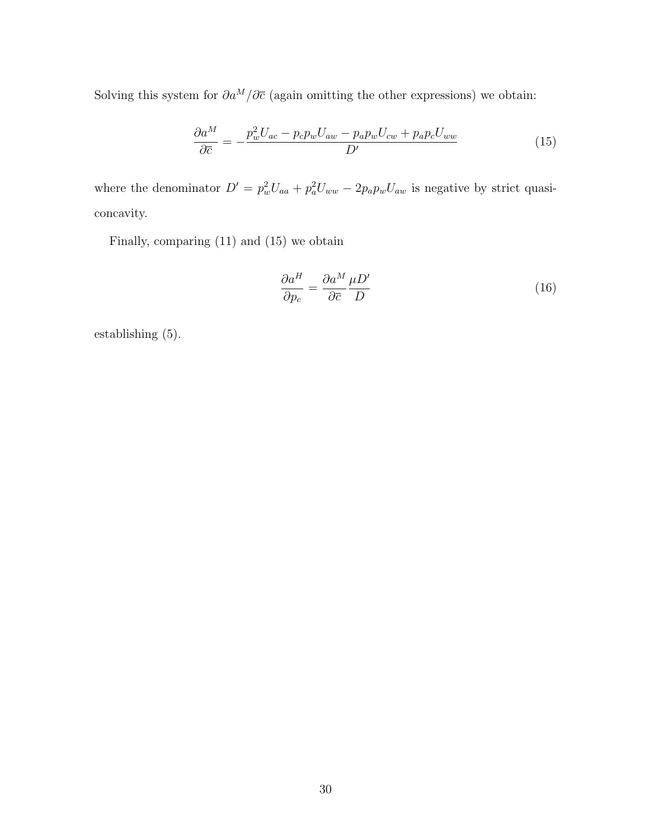Solving this system for  $\partial a^M/\partial \overline{c}$  (again omitting the other expressions) we obtain:

$$
\frac{\partial a^M}{\partial \overline{c}} = -\frac{p_w^2 U_{ac} - p_c p_w U_{aw} - p_a p_w U_{cw} + p_a p_c U_{ww}}{D'}
$$
\n(15)

where the denominator  $D' = p_w^2 U_{aa} + p_a^2 U_{ww} - 2p_a p_w U_{aw}$  is negative by strict quasiconcavity.

Finally, comparing (11) and (15) we obtain

$$
\frac{\partial a^H}{\partial p_c} = \frac{\partial a^M}{\partial \overline{c}} \frac{\mu D'}{D} \tag{16}
$$

establishing (5).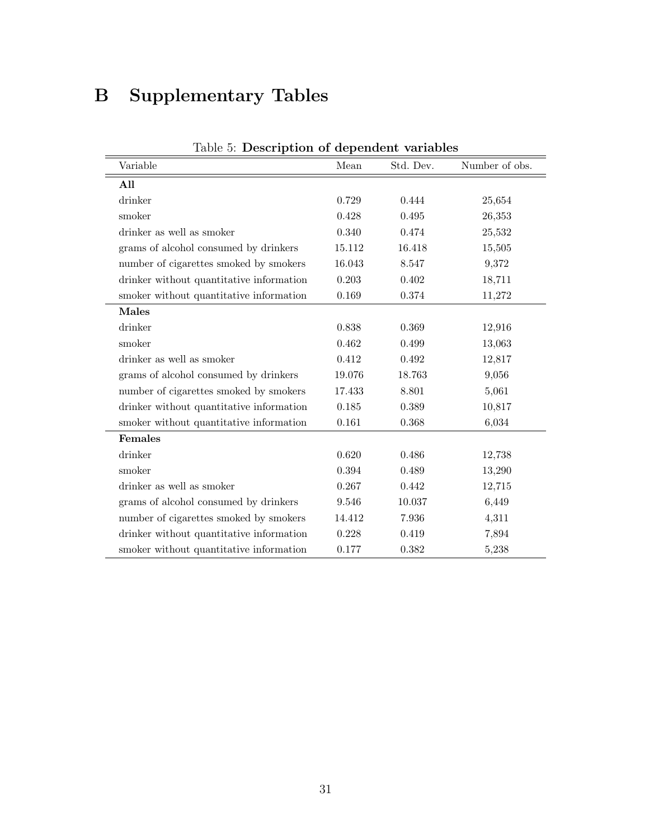## B Supplementary Tables

| Table 5: Description of dependent variables |        |           |                |  |  |  |  |
|---------------------------------------------|--------|-----------|----------------|--|--|--|--|
| Variable                                    | Mean   | Std. Dev. | Number of obs. |  |  |  |  |
| All                                         |        |           |                |  |  |  |  |
| drinker                                     | 0.729  | 0.444     | 25,654         |  |  |  |  |
| smoker                                      | 0.428  | 0.495     | 26,353         |  |  |  |  |
| drinker as well as smoker                   | 0.340  | 0.474     | 25,532         |  |  |  |  |
| grams of alcohol consumed by drinkers       | 15.112 | 16.418    | 15,505         |  |  |  |  |
| number of cigarettes smoked by smokers      | 16.043 | 8.547     | 9,372          |  |  |  |  |
| drinker without quantitative information    | 0.203  | 0.402     | 18,711         |  |  |  |  |
| smoker without quantitative information     | 0.169  | 0.374     | 11,272         |  |  |  |  |
| <b>Males</b>                                |        |           |                |  |  |  |  |
| drinker                                     | 0.838  | 0.369     | 12,916         |  |  |  |  |
| smoker                                      | 0.462  | 0.499     | 13,063         |  |  |  |  |
| drinker as well as smoker                   | 0.412  | 0.492     | 12,817         |  |  |  |  |
| grams of alcohol consumed by drinkers       | 19.076 | 18.763    | 9,056          |  |  |  |  |
| number of cigarettes smoked by smokers      | 17.433 | 8.801     | 5,061          |  |  |  |  |
| drinker without quantitative information    | 0.185  | 0.389     | 10,817         |  |  |  |  |
| smoker without quantitative information     | 0.161  | 0.368     | 6,034          |  |  |  |  |
| Females                                     |        |           |                |  |  |  |  |
| drinker                                     | 0.620  | 0.486     | 12,738         |  |  |  |  |
| smoker                                      | 0.394  | 0.489     | 13,290         |  |  |  |  |
| drinker as well as smoker                   | 0.267  | 0.442     | 12,715         |  |  |  |  |
| grams of alcohol consumed by drinkers       | 9.546  | 10.037    | 6,449          |  |  |  |  |
| number of cigarettes smoked by smokers      | 14.412 | 7.936     | 4,311          |  |  |  |  |
| drinker without quantitative information    | 0.228  | 0.419     | 7,894          |  |  |  |  |
| smoker without quantitative information     | 0.177  | 0.382     | 5,238          |  |  |  |  |

|  |  | Table 5: Description of dependent variables |  |
|--|--|---------------------------------------------|--|
|--|--|---------------------------------------------|--|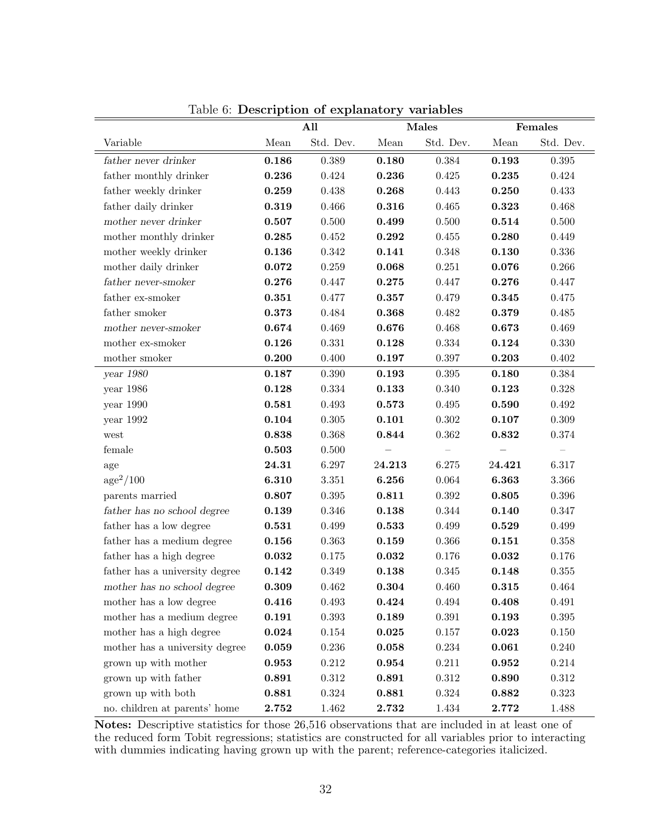|                                | All   |             |            | Males             | Females     |                          |
|--------------------------------|-------|-------------|------------|-------------------|-------------|--------------------------|
| Variable                       | Mean  | Std. Dev.   | Mean       | Std. Dev.         | Mean        | Std. Dev.                |
| father never drinker           | 0.186 | 0.389       | 0.180      | 0.384             | 0.193       | $0.395\,$                |
| father monthly drinker         | 0.236 | 0.424       | 0.236      | $0.425\,$         | 0.235       | 0.424                    |
| father weekly drinker          | 0.259 | $0.438\,$   | 0.268      | 0.443             | 0.250       | 0.433                    |
| father daily drinker           | 0.319 | 0.466       | 0.316      | 0.465             | 0.323       | 0.468                    |
| mother never drinker           | 0.507 | $0.500\,$   | 0.499      | $0.500\,$         | 0.514       | $0.500\,$                |
| mother monthly drinker         | 0.285 | $0.452\,$   | 0.292      | $0.455\,$         | 0.280       | 0.449                    |
| mother weekly drinker          | 0.136 | $0.342\,$   | 0.141      | 0.348             | 0.130       | $0.336\,$                |
| mother daily drinker           | 0.072 | $0.259\,$   | 0.068      | $0.251\,$         | 0.076       | $0.266\,$                |
| father never-smoker            | 0.276 | $0.447\,$   | $\bf0.275$ | 0.447             | 0.276       | $0.447\,$                |
| father ex-smoker               | 0.351 | $0.477\,$   | 0.357      | $0.479\,$         | 0.345       | $0.475\,$                |
| father smoker                  | 0.373 | $\,0.484\,$ | 0.368      | 0.482             | $\bf0.379$  | $0.485\,$                |
| mother never-smoker            | 0.674 | 0.469       | 0.676      | 0.468             | 0.673       | 0.469                    |
| mother ex-smoker               | 0.126 | $0.331\,$   | 0.128      | $0.334\,$         | 0.124       | 0.330                    |
| mother smoker                  | 0.200 | $0.400\,$   | 0.197      | $0.397\,$         | 0.203       | $0.402\,$                |
| year 1980                      | 0.187 | $0.390\,$   | 0.193      | $0.395\,$         | 0.180       | $0.384\,$                |
| year 1986                      | 0.128 | $0.334\,$   | 0.133      | 0.340             | 0.123       | $0.328\,$                |
| year 1990                      | 0.581 | 0.493       | 0.573      | $0.495\,$         | 0.590       | $\,0.492\,$              |
| year 1992                      | 0.104 | $0.305\,$   | 0.101      | $0.302\,$         | 0.107       | $0.309\,$                |
| west                           | 0.838 | $0.368\,$   | 0.844      | 0.362             | 0.832       | $0.374\,$                |
| female                         | 0.503 | $0.500\,$   |            | $\qquad \qquad -$ |             | $\overline{\phantom{0}}$ |
| age                            | 24.31 | 6.297       | 24.213     | 6.275             | 24.421      | 6.317                    |
| age <sup>2</sup> /100          | 6.310 | 3.351       | 6.256      | 0.064             | 6.363       | $3.366\,$                |
| parents married                | 0.807 | $0.395\,$   | 0.811      | $0.392\,$         | 0.805       | $0.396\,$                |
| father has no school degree    | 0.139 | $0.346\,$   | 0.138      | $0.344\,$         | 0.140       | $0.347\,$                |
| father has a low degree        | 0.531 | 0.499       | 0.533      | 0.499             | 0.529       | $0.499\,$                |
| father has a medium degree     | 0.156 | $\,0.363\,$ | 0.159      | $0.366\,$         | 0.151       | $0.358\,$                |
| father has a high degree       | 0.032 | 0.175       | 0.032      | $0.176\,$         | 0.032       | $0.176\,$                |
| father has a university degree | 0.142 | $0.349\,$   | 0.138      | 0.345             | 0.148       | $0.355\,$                |
| mother has no school degree    | 0.309 | 0.462       | 0.304      | 0.460             | 0.315       | 0.464                    |
| mother has a low degree        | 0.416 | 0.493       | 0.424      | 0.494             | 0.408       | 0.491                    |
| mother has a medium degree     | 0.191 | $0.393\,$   | 0.189      | $\!0.391\!$       | 0.193       | $\,0.395\,$              |
| mother has a high degree       | 0.024 | 0.154       | 0.025      | 0.157             | 0.023       | 0.150                    |
| mother has a university degree | 0.059 | 0.236       | 0.058      | 0.234             | 0.061       | 0.240                    |
| grown up with mother           | 0.953 | $0.212\,$   | 0.954      | 0.211             | $\bf 0.952$ | $0.214\,$                |
| grown up with father           | 0.891 | $0.312\,$   | 0.891      | $0.312\,$         | 0.890       | $0.312\,$                |
| grown up with both             | 0.881 | $0.324\,$   | 0.881      | $0.324\,$         | 0.882       | $0.323\,$                |
| no. children at parents' home  | 2.752 | 1.462       | 2.732      | $1.434\,$         | 2.772       | $1.488\,$                |

Table 6: Description of explanatory variables

Notes: Descriptive statistics for those 26,516 observations that are included in at least one of the reduced form Tobit regressions; statistics are constructed for all variables prior to interacting with dummies indicating having grown up with the parent; reference-categories italicized.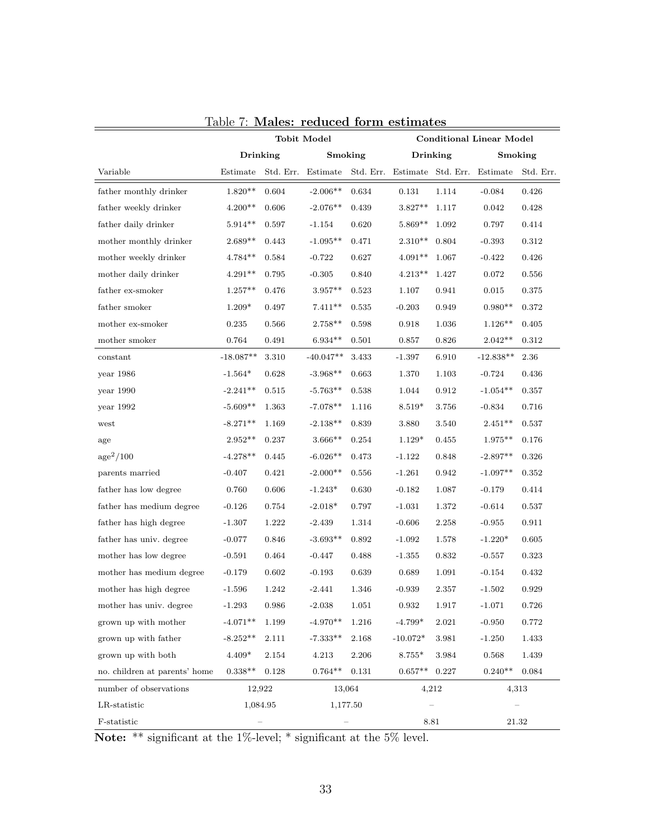|                               |                 | <b>Tobit Model</b> |                                                |             | <b>Conditional Linear Model</b> |           |             |           |
|-------------------------------|-----------------|--------------------|------------------------------------------------|-------------|---------------------------------|-----------|-------------|-----------|
|                               | <b>Drinking</b> |                    | Smoking                                        |             | Drinking                        |           | Smoking     |           |
| Variable                      | Estimate        | Std. Err.          | Estimate Std. Err. Estimate Std. Err. Estimate |             |                                 |           |             | Std. Err. |
| father monthly drinker        | $1.820**$       | $\,0.604\,$        | $-2.006**$                                     | 0.634       | 0.131                           | 1.114     | $-0.084$    | 0.426     |
| father weekly drinker         | $4.200**$       | 0.606              | $-2.076**$                                     | 0.439       | $3.827**$                       | 1.117     | 0.042       | 0.428     |
| father daily drinker          | $5.914**$       | 0.597              | $-1.154$                                       | 0.620       | $5.869**$                       | 1.092     | 0.797       | 0.414     |
| mother monthly drinker        | $2.689**$       | 0.443              | $-1.095**$                                     | 0.471       | $2.310**$                       | 0.804     | $-0.393$    | 0.312     |
| mother weekly drinker         | $4.784**$       | 0.584              | $-0.722$                                       | 0.627       | $4.091**$                       | 1.067     | $-0.422$    | 0.426     |
| mother daily drinker          | $4.291**$       | 0.795              | $-0.305$                                       | 0.840       | $4.213**$                       | 1.427     | 0.072       | 0.556     |
| father ex-smoker              | $1.257**$       | 0.476              | $3.957**$                                      | $\,0.523\,$ | 1.107                           | 0.941     | 0.015       | 0.375     |
| father smoker                 | $1.209*$        | 0.497              | $7.411**$                                      | 0.535       | $-0.203$                        | 0.949     | $0.980**$   | 0.372     |
| mother ex-smoker              | 0.235           | 0.566              | $2.758**$                                      | 0.598       | 0.918                           | 1.036     | $1.126**$   | 0.405     |
| mother smoker                 | 0.764           | 0.491              | $6.934**$                                      | 0.501       | 0.857                           | 0.826     | $2.042**$   | 0.312     |
| constant                      | $-18.087**$     | 3.310              | $-40.047**$                                    | 3.433       | $-1.397$                        | 6.910     | $-12.838**$ | 2.36      |
| year 1986                     | $-1.564*$       | 0.628              | $-3.968**$                                     | 0.663       | 1.370                           | 1.103     | $-0.724$    | 0.436     |
| year $1990$                   | $-2.241**$      | 0.515              | $-5.763**$                                     | 0.538       | 1.044                           | 0.912     | $-1.054**$  | 0.357     |
| year 1992                     | $-5.609**$      | 1.363              | $-7.078**$                                     | 1.116       | $8.519*$                        | 3.756     | $-0.834$    | 0.716     |
| west                          | $-8.271**$      | 1.169              | $-2.138**$                                     | 0.839       | 3.880                           | 3.540     | $2.451**$   | 0.537     |
| age                           | $2.952**$       | 0.237              | $3.666**$                                      | 0.254       | $1.129*$                        | 0.455     | $1.975**$   | 0.176     |
| age <sup>2</sup> /100         | $-4.278**$      | 0.445              | $-6.026**$                                     | 0.473       | $-1.122$                        | 0.848     | $-2.897**$  | 0.326     |
| parents married               | $-0.407$        | 0.421              | $-2.000**$                                     | 0.556       | $-1.261$                        | 0.942     | $-1.097**$  | 0.352     |
| father has low degree         | 0.760           | 0.606              | $-1.243*$                                      | 0.630       | $-0.182$                        | 1.087     | $-0.179$    | 0.414     |
| father has medium degree      | $-0.126$        | 0.754              | $-2.018*$                                      | 0.797       | $-1.031$                        | 1.372     | $-0.614$    | 0.537     |
| father has high degree        | $-1.307$        | 1.222              | $-2.439$                                       | 1.314       | $-0.606$                        | 2.258     | $-0.955$    | 0.911     |
| father has univ. degree       | $-0.077$        | 0.846              | $-3.693**$                                     | 0.892       | $-1.092$                        | 1.578     | $-1.220*$   | 0.605     |
| mother has low degree         | $-0.591$        | 0.464              | $-0.447$                                       | 0.488       | $-1.355$                        | 0.832     | $-0.557$    | 0.323     |
| mother has medium degree      | $-0.179$        | 0.602              | $-0.193$                                       | 0.639       | 0.689                           | 1.091     | $-0.154$    | 0.432     |
| mother has high degree        | $-1.596$        | 1.242              | $-2.441$                                       | 1.346       | $-0.939$                        | 2.357     | $-1.502$    | 0.929     |
| mother has univ. degree       | $-1.293$        | $\,0.986\,$        | $-2.038$                                       | 1.051       | 0.932                           | $1.917\,$ | $-1.071$    | 0.726     |
| grown up with mother          | $-4.071**$      | 1.199              | $-4.970**$                                     | 1.216       | $-4.799*$                       | 2.021     | $-0.950$    | 0.772     |
| grown up with father          | $-8.252**$      | 2.111              | $-7.333**$                                     | 2.168       | $-10.072*$                      | 3.981     | $-1.250$    | 1.433     |
| grown up with both            | $4.409*$        | 2.154              | 4.213                                          | 2.206       | $8.755*$                        | 3.984     | 0.568       | 1.439     |
| no. children at parents' home | $0.338**$       | 0.128              | $0.764**$                                      | 0.131       | $0.657**$ 0.227                 |           | $0.240**$   | 0.084     |
| number of observations        | 12,922          |                    | 13,064                                         |             | 4,212                           |           | 4,313       |           |
| LR-statistic                  | 1,084.95        |                    | 1,177.50                                       |             |                                 |           |             |           |
| F-statistic                   |                 |                    |                                                |             | 8.81                            |           | 21.32       |           |

|  |  | Table 7: Males: reduced form estimates |
|--|--|----------------------------------------|

Note: \*\* significant at the 1%-level; \* significant at the 5% level.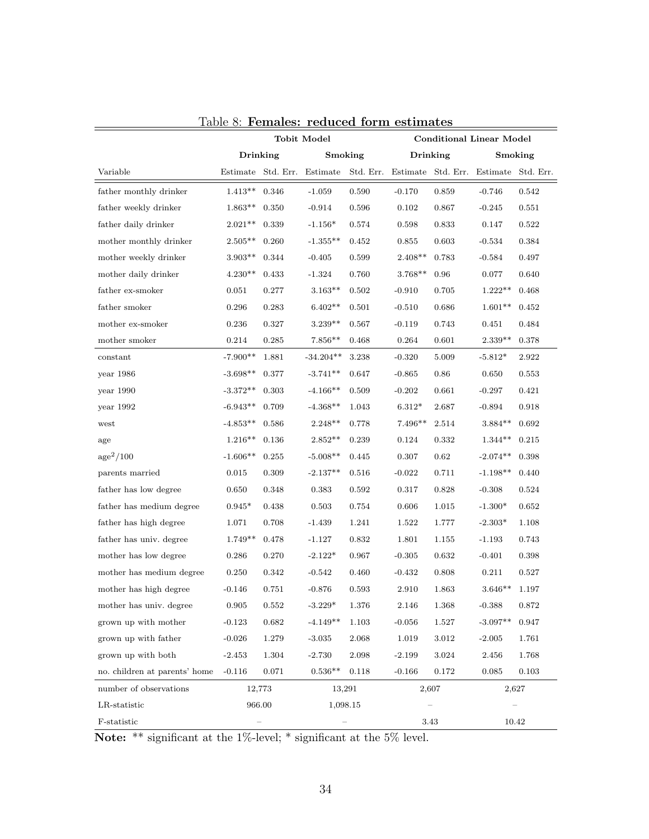|                               |                    | <b>Tobit Model</b> |             |           | <b>Conditional Linear Model</b> |                    |                    |         |
|-------------------------------|--------------------|--------------------|-------------|-----------|---------------------------------|--------------------|--------------------|---------|
|                               | Drinking           |                    | Smoking     |           |                                 | <b>Drinking</b>    |                    | Smoking |
| Variable                      |                    | Estimate Std. Err. | Estimate    | Std. Err. |                                 | Estimate Std. Err. | Estimate Std. Err. |         |
| father monthly drinker        | $1.413**$          | 0.346              | $-1.059$    | 0.590     | $-0.170$                        | 0.859              | $-0.746$           | 0.542   |
| father weekly drinker         | $1.863**$          | 0.350              | $-0.914$    | 0.596     | 0.102                           | 0.867              | $-0.245$           | 0.551   |
| father daily drinker          | $2.021**$          | 0.339              | $-1.156*$   | 0.574     | 0.598                           | 0.833              | 0.147              | 0.522   |
| mother monthly drinker        | $2.505^{\ast\ast}$ | 0.260              | $-1.355**$  | 0.452     | 0.855                           | 0.603              | $-0.534$           | 0.384   |
| mother weekly drinker         | $3.903**$          | 0.344              | $-0.405$    | 0.599     | $2.408**$                       | 0.783              | $-0.584$           | 0.497   |
| mother daily drinker          | $4.230**$          | 0.433              | $-1.324$    | 0.760     | $3.768**$                       | 0.96               | 0.077              | 0.640   |
| father ex-smoker              | 0.051              | 0.277              | $3.163**$   | 0.502     | $-0.910$                        | 0.705              | $1.222^{\ast\ast}$ | 0.468   |
| father smoker                 | 0.296              | 0.283              | $6.402**$   | 0.501     | $-0.510$                        | 0.686              | $1.601**$          | 0.452   |
| mother ex-smoker              | 0.236              | 0.327              | $3.239**$   | 0.567     | $-0.119$                        | 0.743              | 0.451              | 0.484   |
| mother smoker                 | 0.214              | 0.285              | $7.856**$   | 0.468     | 0.264                           | 0.601              | $2.339**$          | 0.378   |
| constant                      | $-7.900**$         | 1.881              | $-34.204**$ | 3.238     | $-0.320$                        | 5.009              | $-5.812*$          | 2.922   |
| year 1986                     | $-3.698**$         | 0.377              | $-3.741**$  | 0.647     | $-0.865$                        | 0.86               | 0.650              | 0.553   |
| year 1990                     | $-3.372**$         | 0.303              | $-4.166**$  | 0.509     | $-0.202$                        | 0.661              | $-0.297$           | 0.421   |
| year $1992\,$                 | $-6.943**$         | 0.709              | $-4.368**$  | 1.043     | $6.312*$                        | 2.687              | $-0.894$           | 0.918   |
| west                          | $-4.853**$         | 0.586              | $2.248**$   | 0.778     | $7.496**$                       | 2.514              | $3.884**$          | 0.692   |
| age                           | $1.216**$          | 0.136              | $2.852**$   | 0.239     | 0.124                           | 0.332              | $1.344**$          | 0.215   |
| age <sup>2</sup> /100         | $-1.606**$         | 0.255              | $-5.008**$  | 0.445     | 0.307                           | 0.62               | $-2.074**$         | 0.398   |
| parents married               | 0.015              | 0.309              | $-2.137**$  | 0.516     | $-0.022$                        | 0.711              | $-1.198**$         | 0.440   |
| father has low degree         | 0.650              | 0.348              | 0.383       | 0.592     | 0.317                           | 0.828              | $-0.308$           | 0.524   |
| father has medium degree      | $0.945*$           | 0.438              | 0.503       | 0.754     | 0.606                           | 1.015              | $-1.300*$          | 0.652   |
| father has high degree        | 1.071              | 0.708              | $-1.439$    | 1.241     | 1.522                           | 1.777              | $-2.303*$          | 1.108   |
| father has univ. degree       | $1.749**$          | 0.478              | $-1.127$    | 0.832     | 1.801                           | 1.155              | $-1.193$           | 0.743   |
| mother has low degree         | 0.286              | 0.270              | $-2.122*$   | 0.967     | $-0.305$                        | 0.632              | $-0.401$           | 0.398   |
| mother has medium degree      | 0.250              | 0.342              | $-0.542$    | 0.460     | $-0.432$                        | 0.808              | 0.211              | 0.527   |
| mother has high degree        | $-0.146$           | 0.751              | $-0.876$    | 0.593     | 2.910                           | 1.863              | $3.646**$          | 1.197   |
| mother has univ. degree       | 0.905              | 0.552              | $3.229*$    | 1.376     | 2.146                           | 1.368              | $-0.388$           | 0.872   |
| grown up with mother          | $-0.123$           | 0.682              | $-4.149**$  | 1.103     | $-0.056$                        | 1.527              | $-3.097**$         | 0.947   |
| grown up with father          | $-0.026$           | 1.279              | $-3.035$    | 2.068     | 1.019                           | 3.012              | $-2.005$           | 1.761   |
| grown up with both            | $-2.453$           | 1.304              | $-2.730$    | 2.098     | $-2.199$                        | 3.024              | 2.456              | 1.768   |
| no. children at parents' home | $-0.116$           | 0.071              | $0.536**$   | 0.118     | $-0.166$                        | 0.172              | 0.085              | 0.103   |
| number of observations        |                    | 12,773             | 13,291      |           |                                 | 2,607              |                    | 2,627   |
| LR-statistic                  | 966.00             |                    | 1,098.15    |           |                                 |                    |                    |         |
| F-statistic                   |                    |                    |             |           |                                 | 3.43               |                    | 10.42   |

|  |  | Table 8: Females: reduced form estimates |  |
|--|--|------------------------------------------|--|
|  |  |                                          |  |

Note: \*\* significant at the 1%-level; \* significant at the 5% level.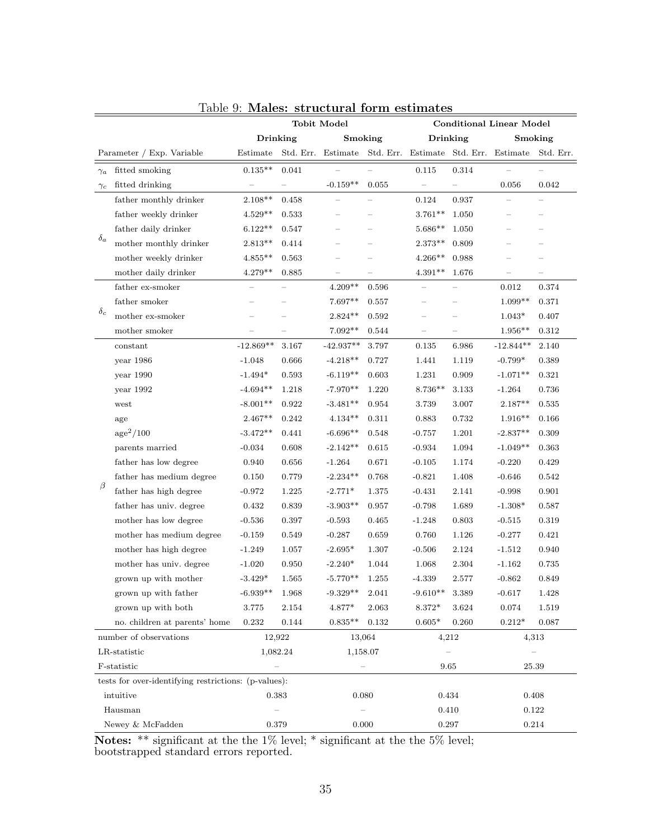|                           |                                                      | <b>Tobit Model</b> |       |                                                          | <b>Conditional Linear Model</b> |                          |       |                          |                          |
|---------------------------|------------------------------------------------------|--------------------|-------|----------------------------------------------------------|---------------------------------|--------------------------|-------|--------------------------|--------------------------|
|                           |                                                      | Drinking           |       | Smoking                                                  |                                 | <b>Drinking</b>          |       | Smoking                  |                          |
| Parameter / Exp. Variable |                                                      | Estimate           |       | Std. Err. Estimate Std. Err. Estimate Std. Err. Estimate |                                 |                          |       |                          | Std. Err.                |
| $\gamma_a$                | fitted smoking                                       | $0.135**$          | 0.041 |                                                          |                                 | 0.115                    | 0.314 |                          |                          |
| $\gamma_c$                | fitted drinking                                      | $\equiv$           |       | $-0.159**$                                               | 0.055                           |                          |       | 0.056                    | 0.042                    |
|                           | father monthly drinker                               | $2.108**$          | 0.458 |                                                          |                                 | 0.124                    | 0.937 |                          |                          |
|                           | father weekly drinker                                | $4.529**$          | 0.533 |                                                          |                                 | $3.761**$                | 1.050 | ÷                        | $\overline{\phantom{0}}$ |
|                           | father daily drinker                                 | $6.122^{\ast\ast}$ | 0.547 | $\overline{\phantom{0}}$                                 |                                 | $5.686**$                | 1.050 | $\overline{\phantom{0}}$ | $\overline{\phantom{0}}$ |
| $\delta_a$                | mother monthly drinker                               | $2.813^{\ast\ast}$ | 0.414 |                                                          |                                 | $2.373**$                | 0.809 |                          | $\overline{\phantom{0}}$ |
|                           | mother weekly drinker                                | $4.855***$         | 0.563 |                                                          |                                 | $4.266**$                | 0.988 |                          |                          |
|                           | mother daily drinker                                 | $4.279**$          | 0.885 | $\overline{\phantom{0}}$                                 |                                 | $4.391**$                | 1.676 | $\qquad \qquad -$        | $\equiv$                 |
|                           | father ex-smoker                                     |                    |       | $4.209**$                                                | 0.596                           |                          |       | 0.012                    | 0.374                    |
|                           | father smoker                                        |                    |       | 7.697**                                                  | 0.557                           |                          |       | $1.099**$                | 0.371                    |
| $\delta_c$                | mother ex-smoker                                     |                    |       | $2.824**$                                                | 0.592                           | $\overline{\phantom{0}}$ |       | $1.043*$                 | 0.407                    |
|                           | mother smoker                                        |                    |       | 7.092**                                                  | 0.544                           |                          |       | $1.956**$                | 0.312                    |
|                           | constant                                             | $-12.869**$        | 3.167 | $-42.937**$                                              | 3.797                           | 0.135                    | 6.986 | $-12.844**$              | 2.140                    |
|                           | year 1986                                            | $-1.048$           | 0.666 | $-4.218**$                                               | 0.727                           | 1.441                    | 1.119 | $-0.799*$                | 0.389                    |
|                           | year 1990                                            | $-1.494*$          | 0.593 | $-6.119**$                                               | 0.603                           | 1.231                    | 0.909 | $-1.071**$               | 0.321                    |
|                           | year 1992                                            | $-4.694**$         | 1.218 | $-7.970**$                                               | 1.220                           | $8.736**$                | 3.133 | $-1.264$                 | 0.736                    |
|                           | west                                                 | $-8.001**$         | 0.922 | $-3.481**$                                               | 0.954                           | 3.739                    | 3.007 | $2.187**$                | 0.535                    |
|                           | age                                                  | $2.467**$          | 0.242 | $4.134**$                                                | 0.311                           | 0.883                    | 0.732 | $1.916**$                | 0.166                    |
|                           | age <sup>2</sup> /100                                | $-3.472**$         | 0.441 | $-6.696**$                                               | 0.548                           | $-0.757$                 | 1.201 | $-2.837**$               | 0.309                    |
|                           | parents married                                      | $-0.034$           | 0.608 | $-2.142**$                                               | 0.615                           | $-0.934$                 | 1.094 | $-1.049**$               | 0.363                    |
|                           | father has low degree                                | 0.940              | 0.656 | $-1.264$                                                 | 0.671                           | $-0.105$                 | 1.174 | $-0.220$                 | 0.429                    |
|                           | father has medium degree                             | 0.150              | 0.779 | $-2.234**$                                               | 0.768                           | $-0.821$                 | 1.408 | $-0.646$                 | 0.542                    |
| β                         | father has high degree                               | $-0.972$           | 1.225 | $-2.771*$                                                | 1.375                           | $-0.431$                 | 2.141 | $-0.998$                 | 0.901                    |
|                           | father has univ. degree                              | 0.432              | 0.839 | $-3.903**$                                               | 0.957                           | $-0.798$                 | 1.689 | $-1.308*$                | 0.587                    |
|                           | mother has low degree                                | $-0.536$           | 0.397 | $-0.593$                                                 | $\,0.465\,$                     | $-1.248$                 | 0.803 | $-0.515$                 | 0.319                    |
|                           | mother has medium degree                             | $-0.159$           | 0.549 | $-0.287$                                                 | 0.659                           | 0.760                    | 1.126 | $-0.277$                 | 0.421                    |
|                           | mother has high degree                               | $-1.249$           | 1.057 | $-2.695*$                                                | 1.307                           | $-0.506$                 | 2.124 | $-1.512$                 | 0.940                    |
|                           | mother has univ. degree                              | $-1.020$           | 0.950 | $-2.240*$                                                | 1.044                           | 1.068                    | 2.304 | $-1.162$                 | 0.735                    |
|                           | grown up with mother                                 | $-3.429*$          | 1.565 | $-5.770**$                                               | 1.255                           | $-4.339$                 | 2.577 | $-0.862$                 | 0.849                    |
|                           | grown up with father                                 | $-6.939**$         | 1.968 | $-9.329**$                                               | 2.041                           | $-9.610**$               | 3.389 | -0.617                   | 1.428                    |
|                           | grown up with both                                   | 3.775              | 2.154 | 4.877*                                                   | 2.063                           | 8.372*                   | 3.624 | 0.074                    | 1.519                    |
|                           | no. children at parents' home                        | 0.232              | 0.144 | $0.835**$                                                | 0.132                           | $0.605*$                 | 0.260 | $0.212*$                 | 0.087                    |
| number of observations    |                                                      | 12,922             |       | 13,064                                                   |                                 | 4,212                    |       | 4,313                    |                          |
| LR-statistic              |                                                      | 1,082.24           |       | 1,158.07                                                 |                                 |                          |       |                          |                          |
| F-statistic               |                                                      | $\equiv$           |       |                                                          |                                 | 9.65                     |       | 25.39                    |                          |
|                           | tests for over-identifying restrictions: (p-values): |                    |       |                                                          |                                 |                          |       |                          |                          |
| intuitive                 |                                                      | 0.383              |       | 0.080                                                    |                                 | 0.434                    |       | 0.408                    |                          |
|                           | Hausman                                              |                    |       |                                                          |                                 | 0.410                    |       | 0.122                    |                          |
| Newey & McFadden          |                                                      | 0.379              |       | 0.000                                                    |                                 | 0.297                    |       | 0.214                    |                          |

### Table 9: Males: structural form estimates

Notes: \*\* significant at the the 1% level; \* significant at the the 5% level; bootstrapped standard errors reported.